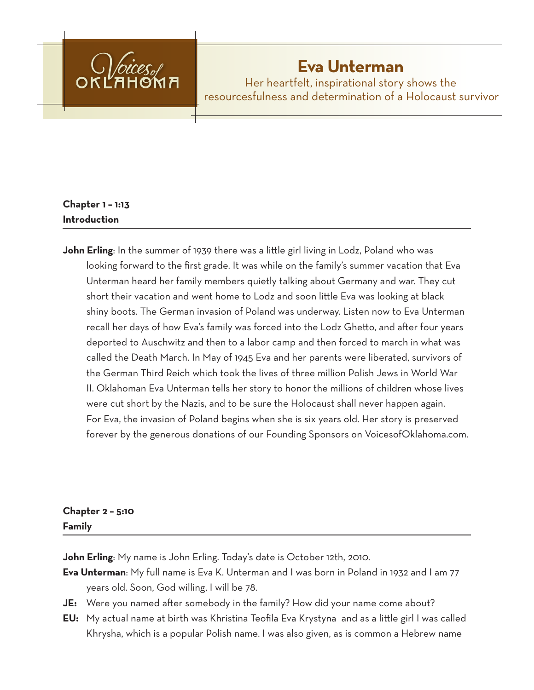

# **Eva Unterman**

Her heartfelt, inspirational story shows the resourcesfulness and determination of a Holocaust survivor

# **Chapter 1 – 1:13 Introduction**

**John Erling**: In the summer of 1939 there was a little girl living in Lodz, Poland who was looking forward to the first grade. It was while on the family's summer vacation that Eva Unterman heard her family members quietly talking about Germany and war. They cut short their vacation and went home to Lodz and soon little Eva was looking at black shiny boots. The German invasion of Poland was underway. Listen now to Eva Unterman recall her days of how Eva's family was forced into the Lodz Ghetto, and after four years deported to Auschwitz and then to a labor camp and then forced to march in what was called the Death March. In May of 1945 Eva and her parents were liberated, survivors of the German Third Reich which took the lives of three million Polish Jews in World War II. Oklahoman Eva Unterman tells her story to honor the millions of children whose lives were cut short by the Nazis, and to be sure the Holocaust shall never happen again. For Eva, the invasion of Poland begins when she is six years old. Her story is preserved forever by the generous donations of our Founding Sponsors on VoicesofOklahoma.com.

# **Chapter 2 – 5:10 Family**

**John Erling**: My name is John Erling. Today's date is October 12th, 2010.

- **Eva Unterman**: My full name is Eva K. Unterman and I was born in Poland in 1932 and I am 77 years old. Soon, God willing, I will be 78.
- **JE:** Were you named after somebody in the family? How did your name come about?
- **EU:** My actual name at birth was Khristina Teofila Eva Krystyna and as a little girl I was called Khrysha, which is a popular Polish name. I was also given, as is common a Hebrew name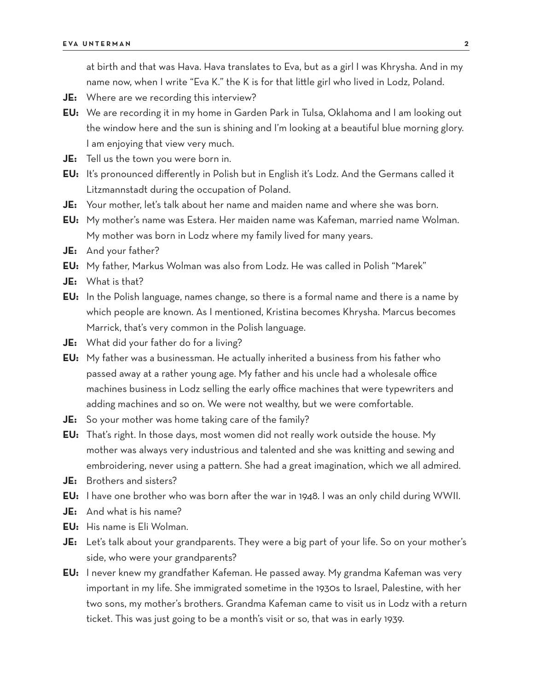at birth and that was Hava. Hava translates to Eva, but as a girl I was Khrysha. And in my name now, when I write "Eva K." the K is for that little girl who lived in Lodz, Poland.

- **JE:** Where are we recording this interview?
- **EU:** We are recording it in my home in Garden Park in Tulsa, Oklahoma and I am looking out the window here and the sun is shining and I'm looking at a beautiful blue morning glory. I am enjoying that view very much.
- **JE:** Tell us the town you were born in.
- **EU:** It's pronounced differently in Polish but in English it's Lodz. And the Germans called it Litzmannstadt during the occupation of Poland.
- **JE:** Your mother, let's talk about her name and maiden name and where she was born.
- **EU:** My mother's name was Estera. Her maiden name was Kafeman, married name Wolman. My mother was born in Lodz where my family lived for many years.
- **JE:** And your father?
- **EU:** My father, Markus Wolman was also from Lodz. He was called in Polish "Marek"
- **JE:** What is that?
- **EU:** In the Polish language, names change, so there is a formal name and there is a name by which people are known. As I mentioned, Kristina becomes Khrysha. Marcus becomes Marrick, that's very common in the Polish language.
- **JE:** What did your father do for a living?
- **EU:** My father was a businessman. He actually inherited a business from his father who passed away at a rather young age. My father and his uncle had a wholesale office machines business in Lodz selling the early office machines that were typewriters and adding machines and so on. We were not wealthy, but we were comfortable.
- **JE:** So your mother was home taking care of the family?
- **EU:** That's right. In those days, most women did not really work outside the house. My mother was always very industrious and talented and she was knitting and sewing and embroidering, never using a pattern. She had a great imagination, which we all admired.
- **JE:** Brothers and sisters?
- **EU:** I have one brother who was born after the war in 1948. I was an only child during WWII.
- **JE:** And what is his name?
- **EU:** His name is Eli Wolman.
- **JE:** Let's talk about your grandparents. They were a big part of your life. So on your mother's side, who were your grandparents?
- **EU:** I never knew my grandfather Kafeman. He passed away. My grandma Kafeman was very important in my life. She immigrated sometime in the 1930s to Israel, Palestine, with her two sons, my mother's brothers. Grandma Kafeman came to visit us in Lodz with a return ticket. This was just going to be a month's visit or so, that was in early 1939.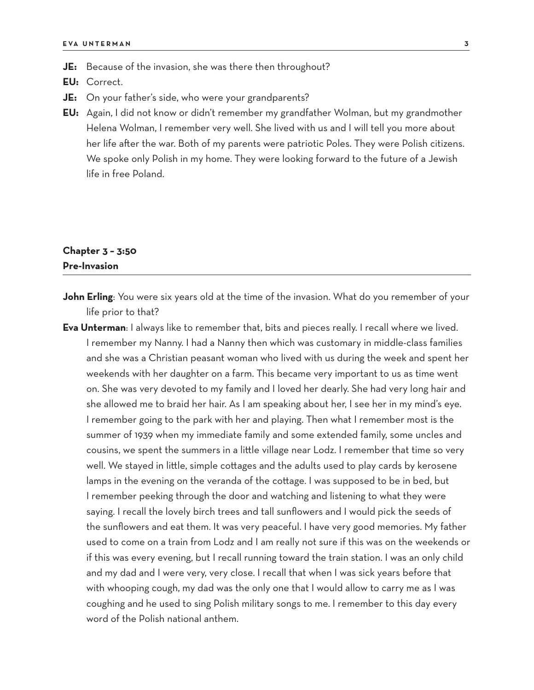- **JE:** Because of the invasion, she was there then throughout?
- **EU:** Correct.
- **JE:** On your father's side, who were your grandparents?
- **EU:** Again, I did not know or didn't remember my grandfather Wolman, but my grandmother Helena Wolman, I remember very well. She lived with us and I will tell you more about her life after the war. Both of my parents were patriotic Poles. They were Polish citizens. We spoke only Polish in my home. They were looking forward to the future of a Jewish life in free Poland.

### **Chapter 3 – 3:50 Pre-Invasion**

- **John Erling**: You were six years old at the time of the invasion. What do you remember of your life prior to that?
- **Eva Unterman**: I always like to remember that, bits and pieces really. I recall where we lived. I remember my Nanny. I had a Nanny then which was customary in middle-class families and she was a Christian peasant woman who lived with us during the week and spent her weekends with her daughter on a farm. This became very important to us as time went on. She was very devoted to my family and I loved her dearly. She had very long hair and she allowed me to braid her hair. As I am speaking about her, I see her in my mind's eye. I remember going to the park with her and playing. Then what I remember most is the summer of 1939 when my immediate family and some extended family, some uncles and cousins, we spent the summers in a little village near Lodz. I remember that time so very well. We stayed in little, simple cottages and the adults used to play cards by kerosene lamps in the evening on the veranda of the cottage. I was supposed to be in bed, but I remember peeking through the door and watching and listening to what they were saying. I recall the lovely birch trees and tall sunflowers and I would pick the seeds of the sunflowers and eat them. It was very peaceful. I have very good memories. My father used to come on a train from Lodz and I am really not sure if this was on the weekends or if this was every evening, but I recall running toward the train station. I was an only child and my dad and I were very, very close. I recall that when I was sick years before that with whooping cough, my dad was the only one that I would allow to carry me as I was coughing and he used to sing Polish military songs to me. I remember to this day every word of the Polish national anthem.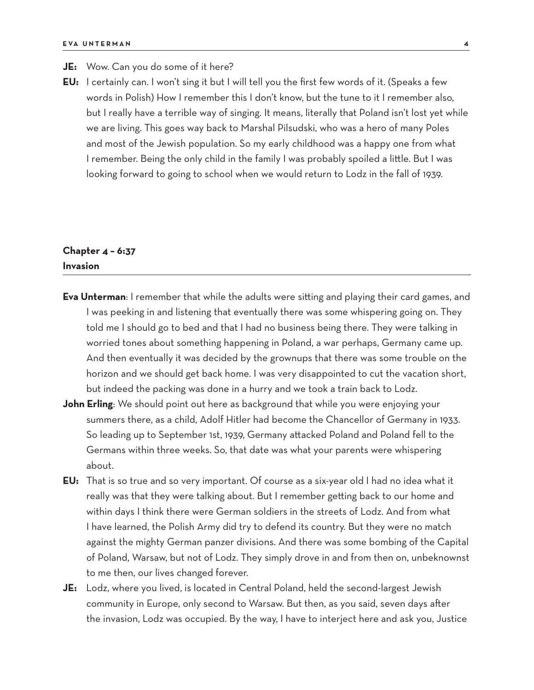- **JE:** Wow. Can you do some of it here?
- **EU:** I certainly can. I won't sing it but I will tell you the first few words of it. (Speaks a few words in Polish) How I remember this I don't know, but the tune to it I remember also, but I really have a terrible way of singing. It means, literally that Poland isn't lost yet while we are living. This goes way back to Marshal Pilsudski, who was a hero of many Poles and most of the Jewish population. So my early childhood was a happy one from what I remember. Being the only child in the family I was probably spoiled a little. But I was looking forward to going to school when we would return to Lodz in the fall of 1939.

# **Chapter 4 – 6:37 Invasion**

- **Eva Unterman**: I remember that while the adults were sitting and playing their card games, and I was peeking in and listening that eventually there was some whispering going on. They told me I should go to bed and that I had no business being there. They were talking in worried tones about something happening in Poland, a war perhaps, Germany came up. And then eventually it was decided by the grownups that there was some trouble on the horizon and we should get back home. I was very disappointed to cut the vacation short, but indeed the packing was done in a hurry and we took a train back to Lodz.
- **John Erling**: We should point out here as background that while you were enjoying your summers there, as a child, Adolf Hitler had become the Chancellor of Germany in 1933. So leading up to September 1st, 1939, Germany attacked Poland and Poland fell to the Germans within three weeks. So, that date was what your parents were whispering about.
- **EU:** That is so true and so very important. Of course as a six-year old I had no idea what it really was that they were talking about. But I remember getting back to our home and within days I think there were German soldiers in the streets of Lodz. And from what I have learned, the Polish Army did try to defend its country. But they were no match against the mighty German panzer divisions. And there was some bombing of the Capital of Poland, Warsaw, but not of Lodz. They simply drove in and from then on, unbeknownst to me then, our lives changed forever.
- **JE:** Lodz, where you lived, is located in Central Poland, held the second-largest Jewish community in Europe, only second to Warsaw. But then, as you said, seven days after the invasion, Lodz was occupied. By the way, I have to interject here and ask you, Justice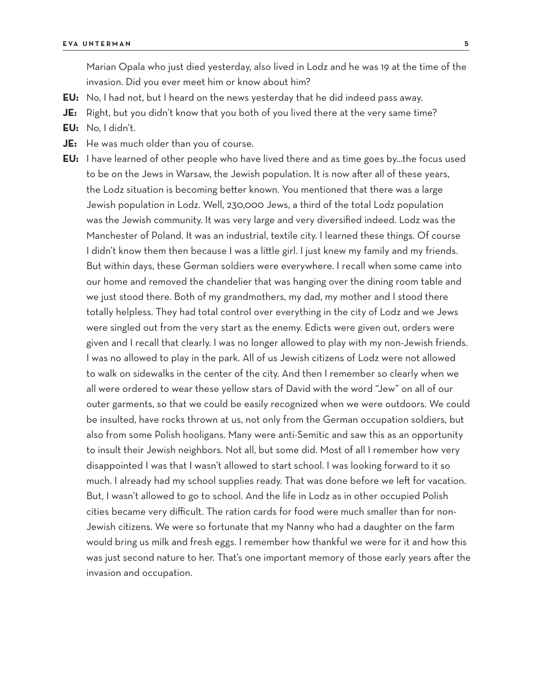Marian Opala who just died yesterday, also lived in Lodz and he was 19 at the time of the invasion. Did you ever meet him or know about him?

- **EU:** No, I had not, but I heard on the news yesterday that he did indeed pass away.
- **JE:** Right, but you didn't know that you both of you lived there at the very same time?
- **EU:** No, I didn't.
- **JE:** He was much older than you of course.
- **EU:** I have learned of other people who have lived there and as time goes by…the focus used to be on the Jews in Warsaw, the Jewish population. It is now after all of these years, the Lodz situation is becoming better known. You mentioned that there was a large Jewish population in Lodz. Well, 230,000 Jews, a third of the total Lodz population was the Jewish community. It was very large and very diversified indeed. Lodz was the Manchester of Poland. It was an industrial, textile city. I learned these things. Of course I didn't know them then because I was a little girl. I just knew my family and my friends. But within days, these German soldiers were everywhere. I recall when some came into our home and removed the chandelier that was hanging over the dining room table and we just stood there. Both of my grandmothers, my dad, my mother and I stood there totally helpless. They had total control over everything in the city of Lodz and we Jews were singled out from the very start as the enemy. Edicts were given out, orders were given and I recall that clearly. I was no longer allowed to play with my non-Jewish friends. I was no allowed to play in the park. All of us Jewish citizens of Lodz were not allowed to walk on sidewalks in the center of the city. And then I remember so clearly when we all were ordered to wear these yellow stars of David with the word "Jew" on all of our outer garments, so that we could be easily recognized when we were outdoors. We could be insulted, have rocks thrown at us, not only from the German occupation soldiers, but also from some Polish hooligans. Many were anti-Semitic and saw this as an opportunity to insult their Jewish neighbors. Not all, but some did. Most of all I remember how very disappointed I was that I wasn't allowed to start school. I was looking forward to it so much. I already had my school supplies ready. That was done before we left for vacation. But, I wasn't allowed to go to school. And the life in Lodz as in other occupied Polish cities became very difficult. The ration cards for food were much smaller than for non-Jewish citizens. We were so fortunate that my Nanny who had a daughter on the farm would bring us milk and fresh eggs. I remember how thankful we were for it and how this was just second nature to her. That's one important memory of those early years after the invasion and occupation.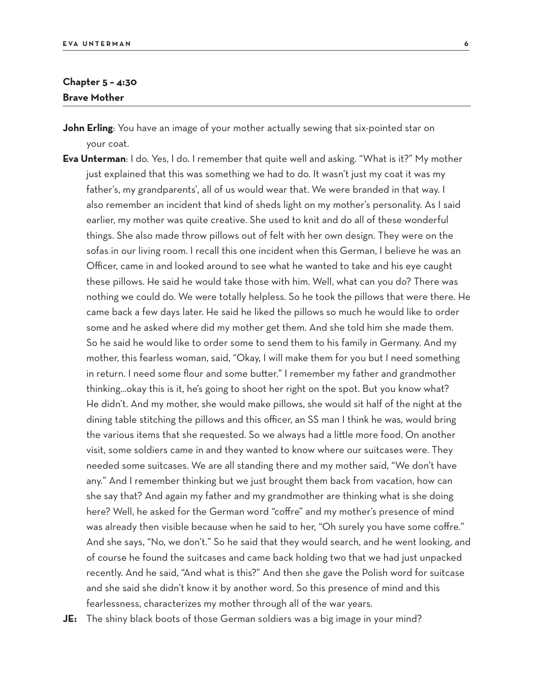#### **Chapter 5 – 4:30 Brave Mother**

- **John Erling**: You have an image of your mother actually sewing that six-pointed star on your coat.
- **Eva Unterman**: I do. Yes, I do. I remember that quite well and asking. "What is it?" My mother just explained that this was something we had to do. It wasn't just my coat it was my father's, my grandparents', all of us would wear that. We were branded in that way. I also remember an incident that kind of sheds light on my mother's personality. As I said earlier, my mother was quite creative. She used to knit and do all of these wonderful things. She also made throw pillows out of felt with her own design. They were on the sofas in our living room. I recall this one incident when this German, I believe he was an Officer, came in and looked around to see what he wanted to take and his eye caught these pillows. He said he would take those with him. Well, what can you do? There was nothing we could do. We were totally helpless. So he took the pillows that were there. He came back a few days later. He said he liked the pillows so much he would like to order some and he asked where did my mother get them. And she told him she made them. So he said he would like to order some to send them to his family in Germany. And my mother, this fearless woman, said, "Okay, I will make them for you but I need something in return. I need some flour and some butter." I remember my father and grandmother thinking…okay this is it, he's going to shoot her right on the spot. But you know what? He didn't. And my mother, she would make pillows, she would sit half of the night at the dining table stitching the pillows and this officer, an SS man I think he was, would bring the various items that she requested. So we always had a little more food. On another visit, some soldiers came in and they wanted to know where our suitcases were. They needed some suitcases. We are all standing there and my mother said, "We don't have any." And I remember thinking but we just brought them back from vacation, how can she say that? And again my father and my grandmother are thinking what is she doing here? Well, he asked for the German word "coffre" and my mother's presence of mind was already then visible because when he said to her, "Oh surely you have some coffre." And she says, "No, we don't." So he said that they would search, and he went looking, and of course he found the suitcases and came back holding two that we had just unpacked recently. And he said, "And what is this?" And then she gave the Polish word for suitcase and she said she didn't know it by another word. So this presence of mind and this fearlessness, characterizes my mother through all of the war years.

**JE:** The shiny black boots of those German soldiers was a big image in your mind?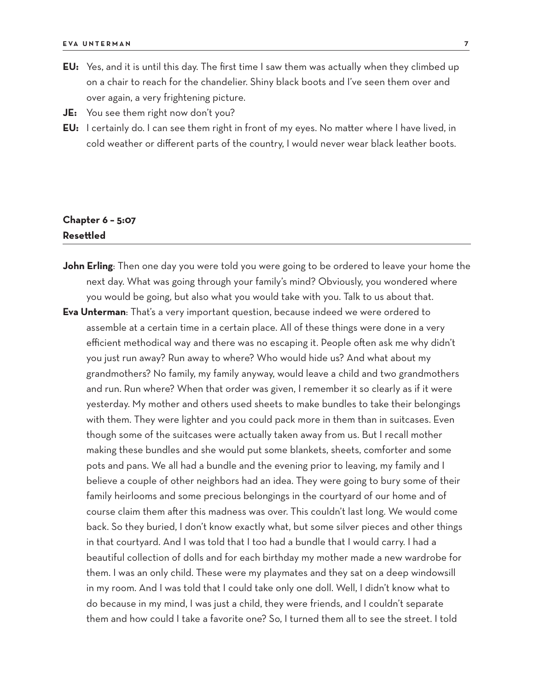- **EU:** Yes, and it is until this day. The first time I saw them was actually when they climbed up on a chair to reach for the chandelier. Shiny black boots and I've seen them over and over again, a very frightening picture.
- **JE:** You see them right now don't you?
- **EU:** I certainly do. I can see them right in front of my eyes. No matter where I have lived, in cold weather or different parts of the country, I would never wear black leather boots.

# **Chapter 6 – 5:07 Resettled**

- **John Erling**: Then one day you were told you were going to be ordered to leave your home the next day. What was going through your family's mind? Obviously, you wondered where you would be going, but also what you would take with you. Talk to us about that.
- **Eva Unterman**: That's a very important question, because indeed we were ordered to assemble at a certain time in a certain place. All of these things were done in a very efficient methodical way and there was no escaping it. People often ask me why didn't you just run away? Run away to where? Who would hide us? And what about my grandmothers? No family, my family anyway, would leave a child and two grandmothers and run. Run where? When that order was given, I remember it so clearly as if it were yesterday. My mother and others used sheets to make bundles to take their belongings with them. They were lighter and you could pack more in them than in suitcases. Even though some of the suitcases were actually taken away from us. But I recall mother making these bundles and she would put some blankets, sheets, comforter and some pots and pans. We all had a bundle and the evening prior to leaving, my family and I believe a couple of other neighbors had an idea. They were going to bury some of their family heirlooms and some precious belongings in the courtyard of our home and of course claim them after this madness was over. This couldn't last long. We would come back. So they buried, I don't know exactly what, but some silver pieces and other things in that courtyard. And I was told that I too had a bundle that I would carry. I had a beautiful collection of dolls and for each birthday my mother made a new wardrobe for them. I was an only child. These were my playmates and they sat on a deep windowsill in my room. And I was told that I could take only one doll. Well, I didn't know what to do because in my mind, I was just a child, they were friends, and I couldn't separate them and how could I take a favorite one? So, I turned them all to see the street. I told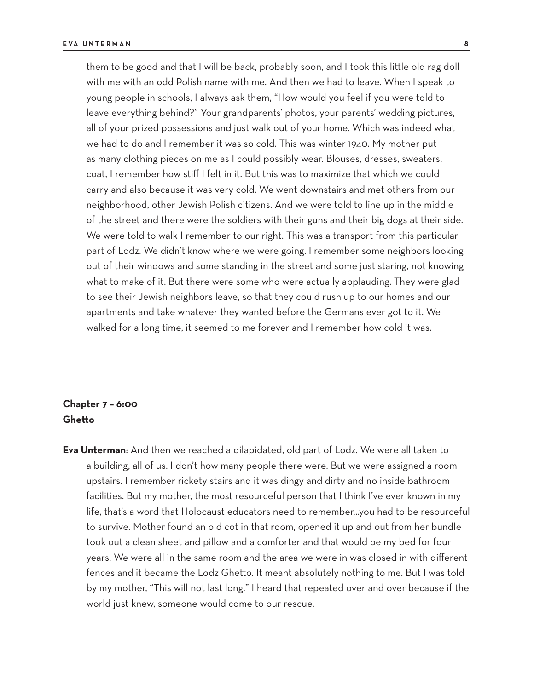them to be good and that I will be back, probably soon, and I took this little old rag doll with me with an odd Polish name with me. And then we had to leave. When I speak to young people in schools, I always ask them, "How would you feel if you were told to leave everything behind?" Your grandparents' photos, your parents' wedding pictures, all of your prized possessions and just walk out of your home. Which was indeed what we had to do and I remember it was so cold. This was winter 1940. My mother put as many clothing pieces on me as I could possibly wear. Blouses, dresses, sweaters, coat, I remember how stiff I felt in it. But this was to maximize that which we could carry and also because it was very cold. We went downstairs and met others from our neighborhood, other Jewish Polish citizens. And we were told to line up in the middle of the street and there were the soldiers with their guns and their big dogs at their side. We were told to walk I remember to our right. This was a transport from this particular part of Lodz. We didn't know where we were going. I remember some neighbors looking out of their windows and some standing in the street and some just staring, not knowing what to make of it. But there were some who were actually applauding. They were glad to see their Jewish neighbors leave, so that they could rush up to our homes and our apartments and take whatever they wanted before the Germans ever got to it. We walked for a long time, it seemed to me forever and I remember how cold it was.

#### **Chapter 7 – 6:00 Ghetto**

**Eva Unterman**: And then we reached a dilapidated, old part of Lodz. We were all taken to a building, all of us. I don't how many people there were. But we were assigned a room upstairs. I remember rickety stairs and it was dingy and dirty and no inside bathroom facilities. But my mother, the most resourceful person that I think I've ever known in my life, that's a word that Holocaust educators need to remember…you had to be resourceful to survive. Mother found an old cot in that room, opened it up and out from her bundle took out a clean sheet and pillow and a comforter and that would be my bed for four years. We were all in the same room and the area we were in was closed in with different fences and it became the Lodz Ghetto. It meant absolutely nothing to me. But I was told by my mother, "This will not last long." I heard that repeated over and over because if the world just knew, someone would come to our rescue.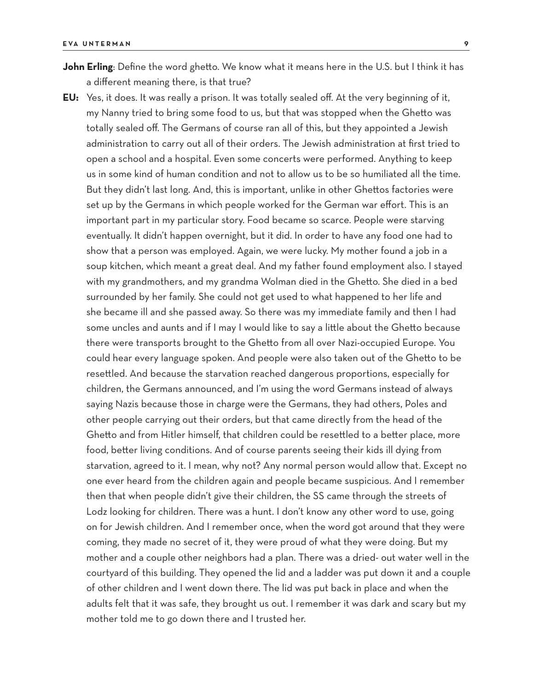- **John Erling**: Define the word ghetto. We know what it means here in the U.S. but I think it has a different meaning there, is that true?
- **EU:** Yes, it does. It was really a prison. It was totally sealed off. At the very beginning of it, my Nanny tried to bring some food to us, but that was stopped when the Ghetto was totally sealed off. The Germans of course ran all of this, but they appointed a Jewish administration to carry out all of their orders. The Jewish administration at first tried to open a school and a hospital. Even some concerts were performed. Anything to keep us in some kind of human condition and not to allow us to be so humiliated all the time. But they didn't last long. And, this is important, unlike in other Ghettos factories were set up by the Germans in which people worked for the German war effort. This is an important part in my particular story. Food became so scarce. People were starving eventually. It didn't happen overnight, but it did. In order to have any food one had to show that a person was employed. Again, we were lucky. My mother found a job in a soup kitchen, which meant a great deal. And my father found employment also. I stayed with my grandmothers, and my grandma Wolman died in the Ghetto. She died in a bed surrounded by her family. She could not get used to what happened to her life and she became ill and she passed away. So there was my immediate family and then I had some uncles and aunts and if I may I would like to say a little about the Ghetto because there were transports brought to the Ghetto from all over Nazi-occupied Europe. You could hear every language spoken. And people were also taken out of the Ghetto to be resettled. And because the starvation reached dangerous proportions, especially for children, the Germans announced, and I'm using the word Germans instead of always saying Nazis because those in charge were the Germans, they had others, Poles and other people carrying out their orders, but that came directly from the head of the Ghetto and from Hitler himself, that children could be resettled to a better place, more food, better living conditions. And of course parents seeing their kids ill dying from starvation, agreed to it. I mean, why not? Any normal person would allow that. Except no one ever heard from the children again and people became suspicious. And I remember then that when people didn't give their children, the SS came through the streets of Lodz looking for children. There was a hunt. I don't know any other word to use, going on for Jewish children. And I remember once, when the word got around that they were coming, they made no secret of it, they were proud of what they were doing. But my mother and a couple other neighbors had a plan. There was a dried- out water well in the courtyard of this building. They opened the lid and a ladder was put down it and a couple of other children and I went down there. The lid was put back in place and when the adults felt that it was safe, they brought us out. I remember it was dark and scary but my mother told me to go down there and I trusted her.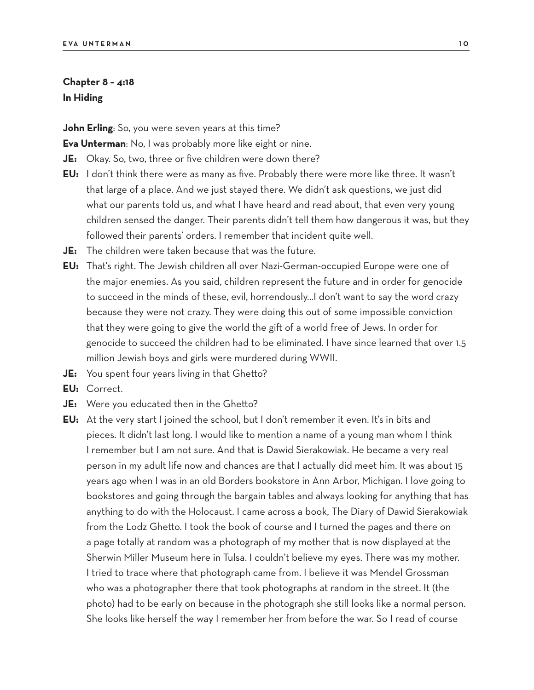#### **Chapter 8 – 4:18 In Hiding**

**John Erling**: So, you were seven years at this time?

**Eva Unterman**: No, I was probably more like eight or nine.

- **JE:** Okay. So, two, three or five children were down there?
- **EU:** I don't think there were as many as five. Probably there were more like three. It wasn't that large of a place. And we just stayed there. We didn't ask questions, we just did what our parents told us, and what I have heard and read about, that even very young children sensed the danger. Their parents didn't tell them how dangerous it was, but they followed their parents' orders. I remember that incident quite well.
- **JE:** The children were taken because that was the future.
- **EU:** That's right. The Jewish children all over Nazi-German-occupied Europe were one of the major enemies. As you said, children represent the future and in order for genocide to succeed in the minds of these, evil, horrendously…I don't want to say the word crazy because they were not crazy. They were doing this out of some impossible conviction that they were going to give the world the gift of a world free of Jews. In order for genocide to succeed the children had to be eliminated. I have since learned that over 1.5 million Jewish boys and girls were murdered during WWII.
- **JE:** You spent four years living in that Ghetto?
- **EU:** Correct.
- **JE:** Were you educated then in the Ghetto?
- **EU:** At the very start I joined the school, but I don't remember it even. It's in bits and pieces. It didn't last long. I would like to mention a name of a young man whom I think I remember but I am not sure. And that is Dawid Sierakowiak. He became a very real person in my adult life now and chances are that I actually did meet him. It was about 15 years ago when I was in an old Borders bookstore in Ann Arbor, Michigan. I love going to bookstores and going through the bargain tables and always looking for anything that has anything to do with the Holocaust. I came across a book, The Diary of Dawid Sierakowiak from the Lodz Ghetto. I took the book of course and I turned the pages and there on a page totally at random was a photograph of my mother that is now displayed at the Sherwin Miller Museum here in Tulsa. I couldn't believe my eyes. There was my mother. I tried to trace where that photograph came from. I believe it was Mendel Grossman who was a photographer there that took photographs at random in the street. It (the photo) had to be early on because in the photograph she still looks like a normal person. She looks like herself the way I remember her from before the war. So I read of course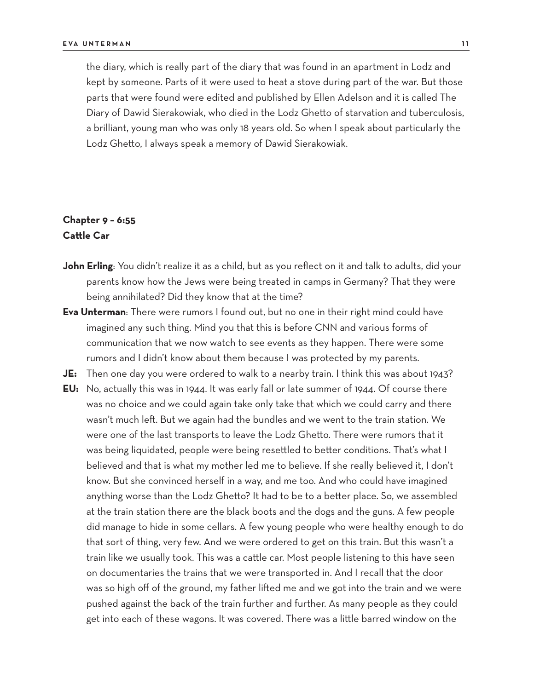the diary, which is really part of the diary that was found in an apartment in Lodz and kept by someone. Parts of it were used to heat a stove during part of the war. But those parts that were found were edited and published by Ellen Adelson and it is called The Diary of Dawid Sierakowiak, who died in the Lodz Ghetto of starvation and tuberculosis, a brilliant, young man who was only 18 years old. So when I speak about particularly the Lodz Ghetto, I always speak a memory of Dawid Sierakowiak.

# **Chapter 9 – 6:55 Cattle Car**

- John Erling: You didn't realize it as a child, but as you reflect on it and talk to adults, did your parents know how the Jews were being treated in camps in Germany? That they were being annihilated? Did they know that at the time?
- **Eva Unterman**: There were rumors I found out, but no one in their right mind could have imagined any such thing. Mind you that this is before CNN and various forms of communication that we now watch to see events as they happen. There were some rumors and I didn't know about them because I was protected by my parents.
- **JE:** Then one day you were ordered to walk to a nearby train. I think this was about 1943?
- **EU:** No, actually this was in 1944. It was early fall or late summer of 1944. Of course there was no choice and we could again take only take that which we could carry and there wasn't much left. But we again had the bundles and we went to the train station. We were one of the last transports to leave the Lodz Ghetto. There were rumors that it was being liquidated, people were being resettled to better conditions. That's what I believed and that is what my mother led me to believe. If she really believed it, I don't know. But she convinced herself in a way, and me too. And who could have imagined anything worse than the Lodz Ghetto? It had to be to a better place. So, we assembled at the train station there are the black boots and the dogs and the guns. A few people did manage to hide in some cellars. A few young people who were healthy enough to do that sort of thing, very few. And we were ordered to get on this train. But this wasn't a train like we usually took. This was a cattle car. Most people listening to this have seen on documentaries the trains that we were transported in. And I recall that the door was so high off of the ground, my father lifted me and we got into the train and we were pushed against the back of the train further and further. As many people as they could get into each of these wagons. It was covered. There was a little barred window on the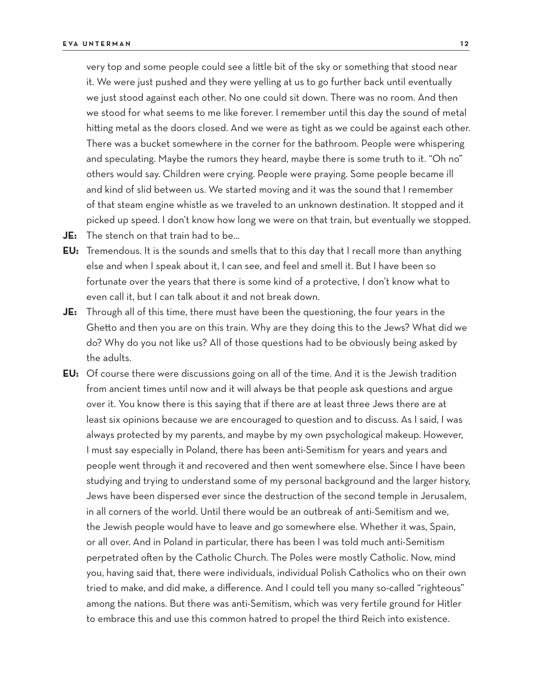very top and some people could see a little bit of the sky or something that stood near it. We were just pushed and they were yelling at us to go further back until eventually we just stood against each other. No one could sit down. There was no room. And then we stood for what seems to me like forever. I remember until this day the sound of metal hitting metal as the doors closed. And we were as tight as we could be against each other. There was a bucket somewhere in the corner for the bathroom. People were whispering and speculating. Maybe the rumors they heard, maybe there is some truth to it. "Oh no" others would say. Children were crying. People were praying. Some people became ill and kind of slid between us. We started moving and it was the sound that I remember of that steam engine whistle as we traveled to an unknown destination. It stopped and it picked up speed. I don't know how long we were on that train, but eventually we stopped.

- **JE:** The stench on that train had to be…
- **EU:** Tremendous. It is the sounds and smells that to this day that I recall more than anything else and when I speak about it, I can see, and feel and smell it. But I have been so fortunate over the years that there is some kind of a protective, I don't know what to even call it, but I can talk about it and not break down.
- **JE:** Through all of this time, there must have been the questioning, the four years in the Ghetto and then you are on this train. Why are they doing this to the Jews? What did we do? Why do you not like us? All of those questions had to be obviously being asked by the adults.
- **EU:** Of course there were discussions going on all of the time. And it is the Jewish tradition from ancient times until now and it will always be that people ask questions and argue over it. You know there is this saying that if there are at least three Jews there are at least six opinions because we are encouraged to question and to discuss. As I said, I was always protected by my parents, and maybe by my own psychological makeup. However, I must say especially in Poland, there has been anti-Semitism for years and years and people went through it and recovered and then went somewhere else. Since I have been studying and trying to understand some of my personal background and the larger history, Jews have been dispersed ever since the destruction of the second temple in Jerusalem, in all corners of the world. Until there would be an outbreak of anti-Semitism and we, the Jewish people would have to leave and go somewhere else. Whether it was, Spain, or all over. And in Poland in particular, there has been I was told much anti-Semitism perpetrated often by the Catholic Church. The Poles were mostly Catholic. Now, mind you, having said that, there were individuals, individual Polish Catholics who on their own tried to make, and did make, a difference. And I could tell you many so-called "righteous" among the nations. But there was anti-Semitism, which was very fertile ground for Hitler to embrace this and use this common hatred to propel the third Reich into existence.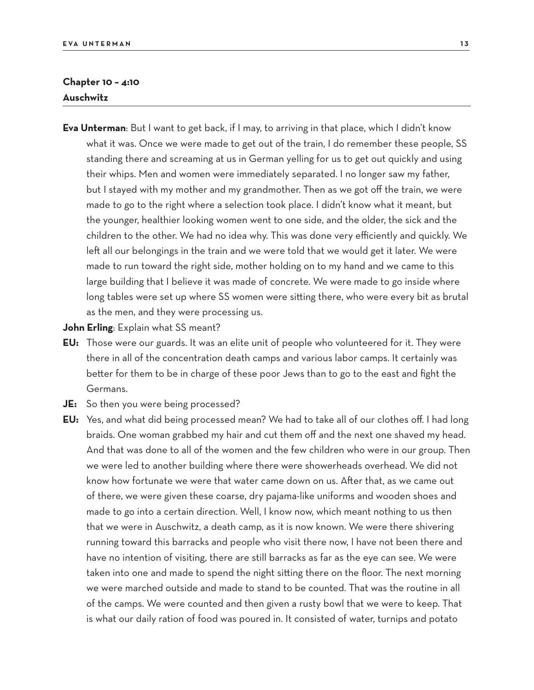#### **Chapter 10 – 4:10 Auschwitz**

- **Eva Unterman**: But I want to get back, if I may, to arriving in that place, which I didn't know what it was. Once we were made to get out of the train, I do remember these people, SS standing there and screaming at us in German yelling for us to get out quickly and using their whips. Men and women were immediately separated. I no longer saw my father, but I stayed with my mother and my grandmother. Then as we got off the train, we were made to go to the right where a selection took place. I didn't know what it meant, but the younger, healthier looking women went to one side, and the older, the sick and the children to the other. We had no idea why. This was done very efficiently and quickly. We left all our belongings in the train and we were told that we would get it later. We were made to run toward the right side, mother holding on to my hand and we came to this large building that I believe it was made of concrete. We were made to go inside where long tables were set up where SS women were sitting there, who were every bit as brutal as the men, and they were processing us.
- **John Erling: Explain what SS meant?**
- **EU:** Those were our guards. It was an elite unit of people who volunteered for it. They were there in all of the concentration death camps and various labor camps. It certainly was better for them to be in charge of these poor Jews than to go to the east and fight the Germans.
- **JE:** So then you were being processed?
- **EU:** Yes, and what did being processed mean? We had to take all of our clothes off. I had long braids. One woman grabbed my hair and cut them off and the next one shaved my head. And that was done to all of the women and the few children who were in our group. Then we were led to another building where there were showerheads overhead. We did not know how fortunate we were that water came down on us. After that, as we came out of there, we were given these coarse, dry pajama-like uniforms and wooden shoes and made to go into a certain direction. Well, I know now, which meant nothing to us then that we were in Auschwitz, a death camp, as it is now known. We were there shivering running toward this barracks and people who visit there now, I have not been there and have no intention of visiting, there are still barracks as far as the eye can see. We were taken into one and made to spend the night sitting there on the floor. The next morning we were marched outside and made to stand to be counted. That was the routine in all of the camps. We were counted and then given a rusty bowl that we were to keep. That is what our daily ration of food was poured in. It consisted of water, turnips and potato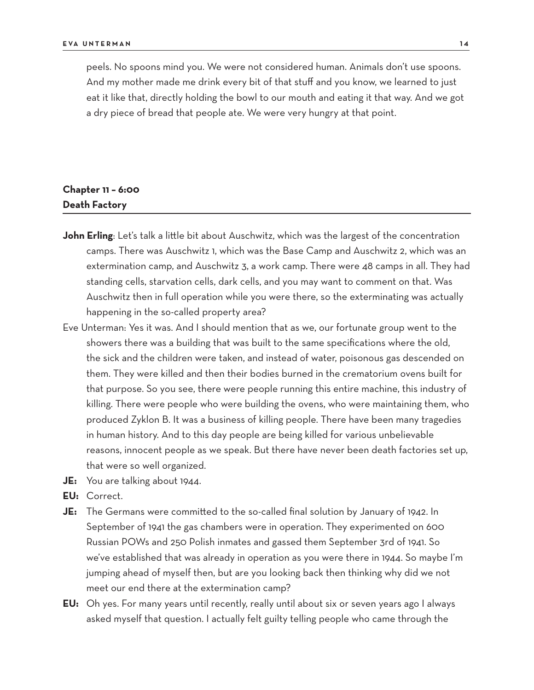peels. No spoons mind you. We were not considered human. Animals don't use spoons. And my mother made me drink every bit of that stuff and you know, we learned to just eat it like that, directly holding the bowl to our mouth and eating it that way. And we got a dry piece of bread that people ate. We were very hungry at that point.

# **Chapter 11 – 6:00 Death Factory**

- **John Erling**: Let's talk a little bit about Auschwitz, which was the largest of the concentration camps. There was Auschwitz 1, which was the Base Camp and Auschwitz 2, which was an extermination camp, and Auschwitz 3, a work camp. There were 48 camps in all. They had standing cells, starvation cells, dark cells, and you may want to comment on that. Was Auschwitz then in full operation while you were there, so the exterminating was actually happening in the so-called property area?
- Eve Unterman: Yes it was. And I should mention that as we, our fortunate group went to the showers there was a building that was built to the same specifications where the old, the sick and the children were taken, and instead of water, poisonous gas descended on them. They were killed and then their bodies burned in the crematorium ovens built for that purpose. So you see, there were people running this entire machine, this industry of killing. There were people who were building the ovens, who were maintaining them, who produced Zyklon B. It was a business of killing people. There have been many tragedies in human history. And to this day people are being killed for various unbelievable reasons, innocent people as we speak. But there have never been death factories set up, that were so well organized.
- **JE:** You are talking about 1944.
- **EU:** Correct.
- **JE:** The Germans were committed to the so-called final solution by January of 1942. In September of 1941 the gas chambers were in operation. They experimented on 600 Russian POWs and 250 Polish inmates and gassed them September 3rd of 1941. So we've established that was already in operation as you were there in 1944. So maybe I'm jumping ahead of myself then, but are you looking back then thinking why did we not meet our end there at the extermination camp?
- **EU:** Oh yes. For many years until recently, really until about six or seven years ago I always asked myself that question. I actually felt guilty telling people who came through the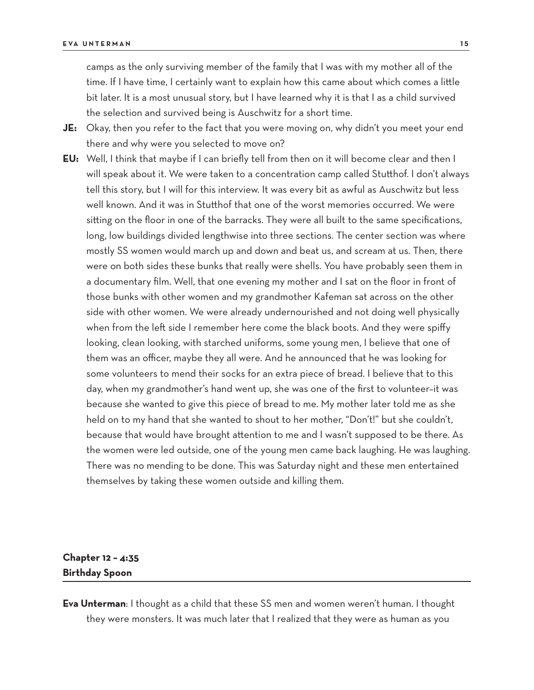camps as the only surviving member of the family that I was with my mother all of the time. If I have time, I certainly want to explain how this came about which comes a little bit later. It is a most unusual story, but I have learned why it is that I as a child survived the selection and survived being is Auschwitz for a short time.

- **JE:** Okay, then you refer to the fact that you were moving on, why didn't you meet your end there and why were you selected to move on?
- **EU:** Well, I think that maybe if I can briefly tell from then on it will become clear and then I will speak about it. We were taken to a concentration camp called Stutthof. I don't always tell this story, but I will for this interview. It was every bit as awful as Auschwitz but less well known. And it was in Stutthof that one of the worst memories occurred. We were sitting on the floor in one of the barracks. They were all built to the same specifications, long, low buildings divided lengthwise into three sections. The center section was where mostly SS women would march up and down and beat us, and scream at us. Then, there were on both sides these bunks that really were shells. You have probably seen them in a documentary film. Well, that one evening my mother and I sat on the floor in front of those bunks with other women and my grandmother Kafeman sat across on the other side with other women. We were already undernourished and not doing well physically when from the left side I remember here come the black boots. And they were spiffy looking, clean looking, with starched uniforms, some young men, I believe that one of them was an officer, maybe they all were. And he announced that he was looking for some volunteers to mend their socks for an extra piece of bread. I believe that to this day, when my grandmother's hand went up, she was one of the first to volunteer–it was because she wanted to give this piece of bread to me. My mother later told me as she held on to my hand that she wanted to shout to her mother, "Don't!" but she couldn't, because that would have brought attention to me and I wasn't supposed to be there. As the women were led outside, one of the young men came back laughing. He was laughing. There was no mending to be done. This was Saturday night and these men entertained themselves by taking these women outside and killing them.

# **Chapter 12 – 4:35 Birthday Spoon**

**Eva Unterman**: I thought as a child that these SS men and women weren't human. I thought they were monsters. It was much later that I realized that they were as human as you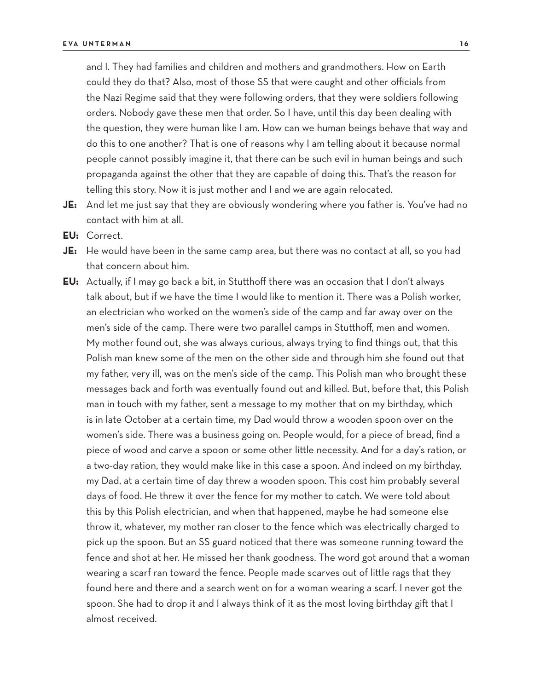and I. They had families and children and mothers and grandmothers. How on Earth could they do that? Also, most of those SS that were caught and other officials from the Nazi Regime said that they were following orders, that they were soldiers following orders. Nobody gave these men that order. So I have, until this day been dealing with the question, they were human like I am. How can we human beings behave that way and do this to one another? That is one of reasons why I am telling about it because normal people cannot possibly imagine it, that there can be such evil in human beings and such propaganda against the other that they are capable of doing this. That's the reason for telling this story. Now it is just mother and I and we are again relocated.

- **JE:** And let me just say that they are obviously wondering where you father is. You've had no contact with him at all.
- **EU:** Correct.
- **JE:** He would have been in the same camp area, but there was no contact at all, so you had that concern about him.
- **EU:** Actually, if I may go back a bit, in Stutthoff there was an occasion that I don't always talk about, but if we have the time I would like to mention it. There was a Polish worker, an electrician who worked on the women's side of the camp and far away over on the men's side of the camp. There were two parallel camps in Stutthoff, men and women. My mother found out, she was always curious, always trying to find things out, that this Polish man knew some of the men on the other side and through him she found out that my father, very ill, was on the men's side of the camp. This Polish man who brought these messages back and forth was eventually found out and killed. But, before that, this Polish man in touch with my father, sent a message to my mother that on my birthday, which is in late October at a certain time, my Dad would throw a wooden spoon over on the women's side. There was a business going on. People would, for a piece of bread, find a piece of wood and carve a spoon or some other little necessity. And for a day's ration, or a two-day ration, they would make like in this case a spoon. And indeed on my birthday, my Dad, at a certain time of day threw a wooden spoon. This cost him probably several days of food. He threw it over the fence for my mother to catch. We were told about this by this Polish electrician, and when that happened, maybe he had someone else throw it, whatever, my mother ran closer to the fence which was electrically charged to pick up the spoon. But an SS guard noticed that there was someone running toward the fence and shot at her. He missed her thank goodness. The word got around that a woman wearing a scarf ran toward the fence. People made scarves out of little rags that they found here and there and a search went on for a woman wearing a scarf. I never got the spoon. She had to drop it and I always think of it as the most loving birthday gift that I almost received.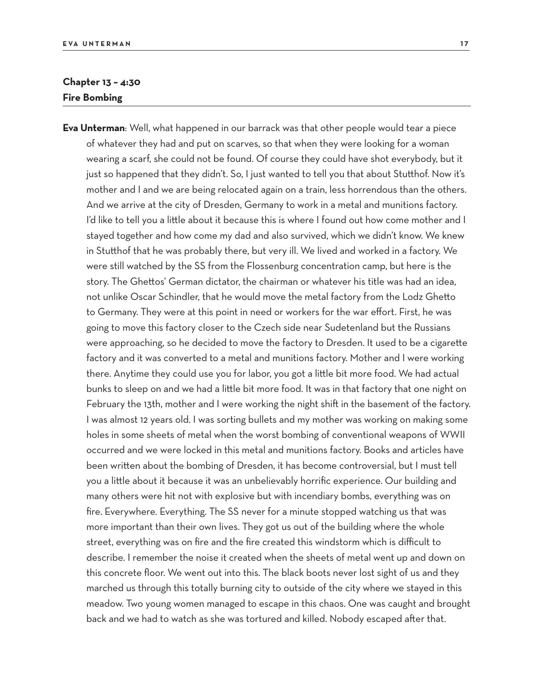## **Chapter 13 – 4:30 Fire Bombing**

**Eva Unterman**: Well, what happened in our barrack was that other people would tear a piece of whatever they had and put on scarves, so that when they were looking for a woman wearing a scarf, she could not be found. Of course they could have shot everybody, but it just so happened that they didn't. So, I just wanted to tell you that about Stutthof. Now it's mother and I and we are being relocated again on a train, less horrendous than the others. And we arrive at the city of Dresden, Germany to work in a metal and munitions factory. I'd like to tell you a little about it because this is where I found out how come mother and I stayed together and how come my dad and also survived, which we didn't know. We knew in Stutthof that he was probably there, but very ill. We lived and worked in a factory. We were still watched by the SS from the Flossenburg concentration camp, but here is the story. The Ghettos' German dictator, the chairman or whatever his title was had an idea, not unlike Oscar Schindler, that he would move the metal factory from the Lodz Ghetto to Germany. They were at this point in need or workers for the war effort. First, he was going to move this factory closer to the Czech side near Sudetenland but the Russians were approaching, so he decided to move the factory to Dresden. It used to be a cigarette factory and it was converted to a metal and munitions factory. Mother and I were working there. Anytime they could use you for labor, you got a little bit more food. We had actual bunks to sleep on and we had a little bit more food. It was in that factory that one night on February the 13th, mother and I were working the night shift in the basement of the factory. I was almost 12 years old. I was sorting bullets and my mother was working on making some holes in some sheets of metal when the worst bombing of conventional weapons of WWII occurred and we were locked in this metal and munitions factory. Books and articles have been written about the bombing of Dresden, it has become controversial, but I must tell you a little about it because it was an unbelievably horrific experience. Our building and many others were hit not with explosive but with incendiary bombs, everything was on fire. Everywhere. Everything. The SS never for a minute stopped watching us that was more important than their own lives. They got us out of the building where the whole street, everything was on fire and the fire created this windstorm which is difficult to describe. I remember the noise it created when the sheets of metal went up and down on this concrete floor. We went out into this. The black boots never lost sight of us and they marched us through this totally burning city to outside of the city where we stayed in this meadow. Two young women managed to escape in this chaos. One was caught and brought back and we had to watch as she was tortured and killed. Nobody escaped after that.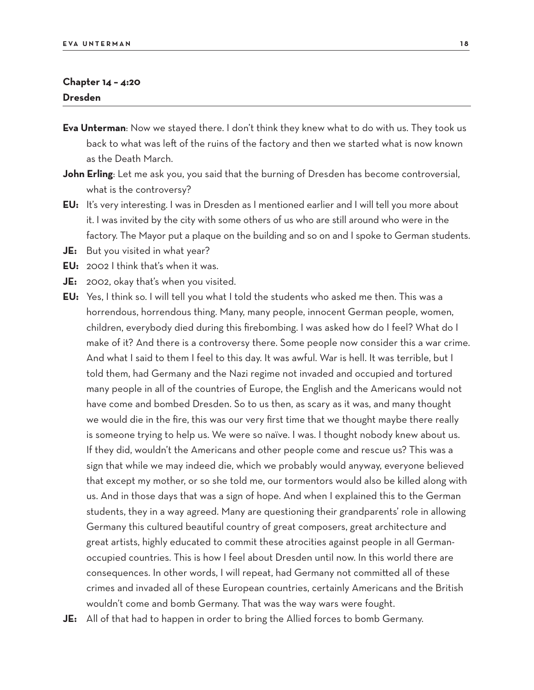#### **Chapter 14 – 4:20 Dresden**

- **Eva Unterman**: Now we stayed there. I don't think they knew what to do with us. They took us back to what was left of the ruins of the factory and then we started what is now known as the Death March.
- **John Erling**: Let me ask you, you said that the burning of Dresden has become controversial, what is the controversy?
- **EU:** It's very interesting. I was in Dresden as I mentioned earlier and I will tell you more about it. I was invited by the city with some others of us who are still around who were in the factory. The Mayor put a plaque on the building and so on and I spoke to German students.
- **JE:** But you visited in what year?
- **EU:** 2002 I think that's when it was.
- **JE:** 2002, okay that's when you visited.
- **EU:** Yes, I think so. I will tell you what I told the students who asked me then. This was a horrendous, horrendous thing. Many, many people, innocent German people, women, children, everybody died during this firebombing. I was asked how do I feel? What do I make of it? And there is a controversy there. Some people now consider this a war crime. And what I said to them I feel to this day. It was awful. War is hell. It was terrible, but I told them, had Germany and the Nazi regime not invaded and occupied and tortured many people in all of the countries of Europe, the English and the Americans would not have come and bombed Dresden. So to us then, as scary as it was, and many thought we would die in the fire, this was our very first time that we thought maybe there really is someone trying to help us. We were so naïve. I was. I thought nobody knew about us. If they did, wouldn't the Americans and other people come and rescue us? This was a sign that while we may indeed die, which we probably would anyway, everyone believed that except my mother, or so she told me, our tormentors would also be killed along with us. And in those days that was a sign of hope. And when I explained this to the German students, they in a way agreed. Many are questioning their grandparents' role in allowing Germany this cultured beautiful country of great composers, great architecture and great artists, highly educated to commit these atrocities against people in all Germanoccupied countries. This is how I feel about Dresden until now. In this world there are consequences. In other words, I will repeat, had Germany not committed all of these crimes and invaded all of these European countries, certainly Americans and the British wouldn't come and bomb Germany. That was the way wars were fought.
- **JE:** All of that had to happen in order to bring the Allied forces to bomb Germany.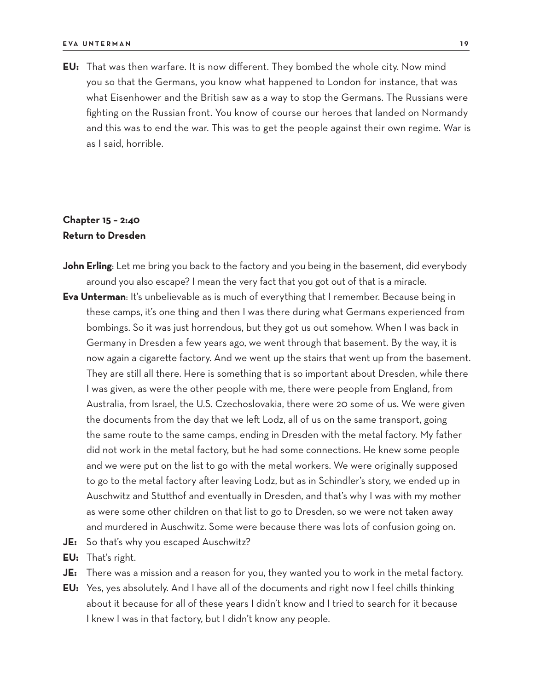**EU:** That was then warfare. It is now different. They bombed the whole city. Now mind you so that the Germans, you know what happened to London for instance, that was what Eisenhower and the British saw as a way to stop the Germans. The Russians were fighting on the Russian front. You know of course our heroes that landed on Normandy and this was to end the war. This was to get the people against their own regime. War is as I said, horrible.

# **Chapter 15 – 2:40 Return to Dresden**

- **John Erling**: Let me bring you back to the factory and you being in the basement, did everybody around you also escape? I mean the very fact that you got out of that is a miracle.
- **Eva Unterman**: It's unbelievable as is much of everything that I remember. Because being in these camps, it's one thing and then I was there during what Germans experienced from bombings. So it was just horrendous, but they got us out somehow. When I was back in Germany in Dresden a few years ago, we went through that basement. By the way, it is now again a cigarette factory. And we went up the stairs that went up from the basement. They are still all there. Here is something that is so important about Dresden, while there I was given, as were the other people with me, there were people from England, from Australia, from Israel, the U.S. Czechoslovakia, there were 20 some of us. We were given the documents from the day that we left Lodz, all of us on the same transport, going the same route to the same camps, ending in Dresden with the metal factory. My father did not work in the metal factory, but he had some connections. He knew some people and we were put on the list to go with the metal workers. We were originally supposed to go to the metal factory after leaving Lodz, but as in Schindler's story, we ended up in Auschwitz and Stutthof and eventually in Dresden, and that's why I was with my mother as were some other children on that list to go to Dresden, so we were not taken away and murdered in Auschwitz. Some were because there was lots of confusion going on.
- **JE:** So that's why you escaped Auschwitz?
- **EU:** That's right.
- **JE:** There was a mission and a reason for you, they wanted you to work in the metal factory.
- **EU:** Yes, yes absolutely. And I have all of the documents and right now I feel chills thinking about it because for all of these years I didn't know and I tried to search for it because I knew I was in that factory, but I didn't know any people.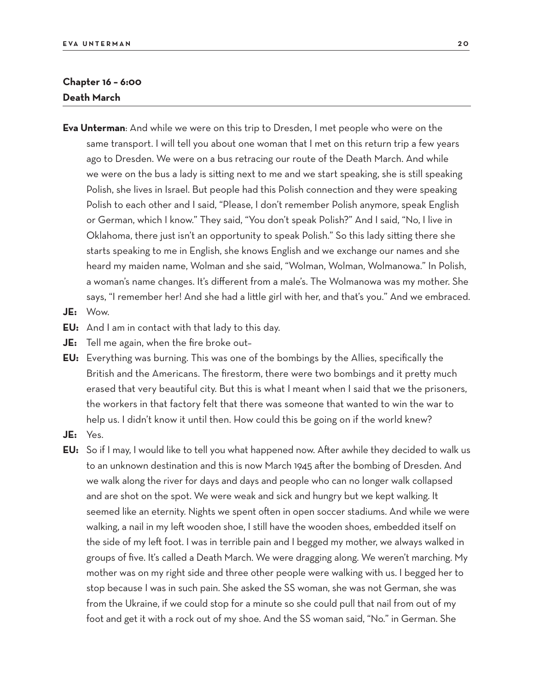## **Chapter 16 – 6:00 Death March**

- **Eva Unterman**: And while we were on this trip to Dresden, I met people who were on the same transport. I will tell you about one woman that I met on this return trip a few years ago to Dresden. We were on a bus retracing our route of the Death March. And while we were on the bus a lady is sitting next to me and we start speaking, she is still speaking Polish, she lives in Israel. But people had this Polish connection and they were speaking Polish to each other and I said, "Please, I don't remember Polish anymore, speak English or German, which I know." They said, "You don't speak Polish?" And I said, "No, I live in Oklahoma, there just isn't an opportunity to speak Polish." So this lady sitting there she starts speaking to me in English, she knows English and we exchange our names and she heard my maiden name, Wolman and she said, "Wolman, Wolman, Wolmanowa." In Polish, a woman's name changes. It's different from a male's. The Wolmanowa was my mother. She says, "I remember her! And she had a little girl with her, and that's you." And we embraced.
- **JE:** Wow.
- **EU:** And I am in contact with that lady to this day.
- **JE:** Tell me again, when the fire broke out–
- **EU:** Everything was burning. This was one of the bombings by the Allies, specifically the British and the Americans. The firestorm, there were two bombings and it pretty much erased that very beautiful city. But this is what I meant when I said that we the prisoners, the workers in that factory felt that there was someone that wanted to win the war to help us. I didn't know it until then. How could this be going on if the world knew?
- **JE:** Yes.
- **EU:** So if I may, I would like to tell you what happened now. After awhile they decided to walk us to an unknown destination and this is now March 1945 after the bombing of Dresden. And we walk along the river for days and days and people who can no longer walk collapsed and are shot on the spot. We were weak and sick and hungry but we kept walking. It seemed like an eternity. Nights we spent often in open soccer stadiums. And while we were walking, a nail in my left wooden shoe, I still have the wooden shoes, embedded itself on the side of my left foot. I was in terrible pain and I begged my mother, we always walked in groups of five. It's called a Death March. We were dragging along. We weren't marching. My mother was on my right side and three other people were walking with us. I begged her to stop because I was in such pain. She asked the SS woman, she was not German, she was from the Ukraine, if we could stop for a minute so she could pull that nail from out of my foot and get it with a rock out of my shoe. And the SS woman said, "No." in German. She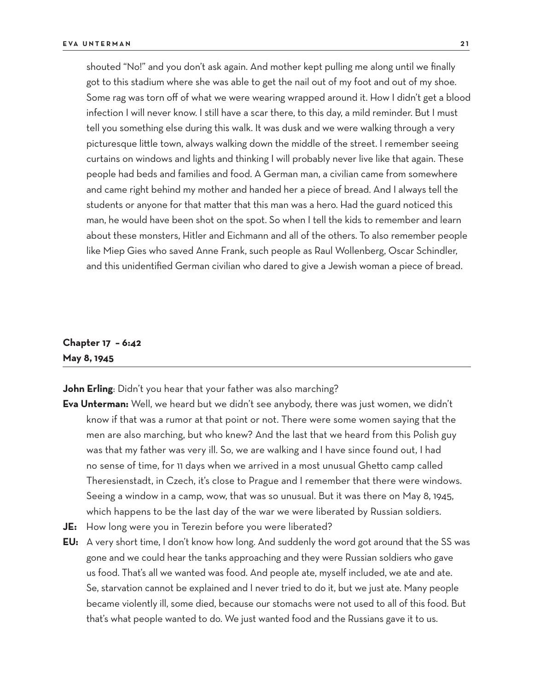shouted "No!" and you don't ask again. And mother kept pulling me along until we finally got to this stadium where she was able to get the nail out of my foot and out of my shoe. Some rag was torn off of what we were wearing wrapped around it. How I didn't get a blood infection I will never know. I still have a scar there, to this day, a mild reminder. But I must tell you something else during this walk. It was dusk and we were walking through a very picturesque little town, always walking down the middle of the street. I remember seeing curtains on windows and lights and thinking I will probably never live like that again. These people had beds and families and food. A German man, a civilian came from somewhere and came right behind my mother and handed her a piece of bread. And I always tell the students or anyone for that matter that this man was a hero. Had the guard noticed this man, he would have been shot on the spot. So when I tell the kids to remember and learn about these monsters, Hitler and Eichmann and all of the others. To also remember people like Miep Gies who saved Anne Frank, such people as Raul Wollenberg, Oscar Schindler, and this unidentified German civilian who dared to give a Jewish woman a piece of bread.

# **Chapter 17 – 6:42 May 8, 1945**

**John Erling**: Didn't you hear that your father was also marching?

- **Eva Unterman:** Well, we heard but we didn't see anybody, there was just women, we didn't know if that was a rumor at that point or not. There were some women saying that the men are also marching, but who knew? And the last that we heard from this Polish guy was that my father was very ill. So, we are walking and I have since found out, I had no sense of time, for 11 days when we arrived in a most unusual Ghetto camp called Theresienstadt, in Czech, it's close to Prague and I remember that there were windows. Seeing a window in a camp, wow, that was so unusual. But it was there on May 8, 1945, which happens to be the last day of the war we were liberated by Russian soldiers.
- **JE:** How long were you in Terezin before you were liberated?
- **EU:** A very short time, I don't know how long. And suddenly the word got around that the SS was gone and we could hear the tanks approaching and they were Russian soldiers who gave us food. That's all we wanted was food. And people ate, myself included, we ate and ate. Se, starvation cannot be explained and I never tried to do it, but we just ate. Many people became violently ill, some died, because our stomachs were not used to all of this food. But that's what people wanted to do. We just wanted food and the Russians gave it to us.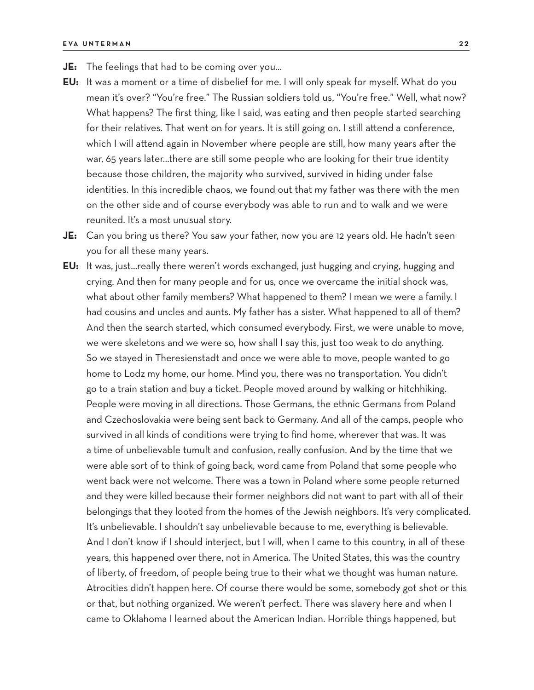- **JE:** The feelings that had to be coming over you…
- **EU:** It was a moment or a time of disbelief for me. I will only speak for myself. What do you mean it's over? "You're free." The Russian soldiers told us, "You're free." Well, what now? What happens? The first thing, like I said, was eating and then people started searching for their relatives. That went on for years. It is still going on. I still attend a conference, which I will attend again in November where people are still, how many years after the war, 65 years later…there are still some people who are looking for their true identity because those children, the majority who survived, survived in hiding under false identities. In this incredible chaos, we found out that my father was there with the men on the other side and of course everybody was able to run and to walk and we were reunited. It's a most unusual story.
- **JE:** Can you bring us there? You saw your father, now you are 12 years old. He hadn't seen you for all these many years.
- **EU:** It was, just…really there weren't words exchanged, just hugging and crying, hugging and crying. And then for many people and for us, once we overcame the initial shock was, what about other family members? What happened to them? I mean we were a family. I had cousins and uncles and aunts. My father has a sister. What happened to all of them? And then the search started, which consumed everybody. First, we were unable to move, we were skeletons and we were so, how shall I say this, just too weak to do anything. So we stayed in Theresienstadt and once we were able to move, people wanted to go home to Lodz my home, our home. Mind you, there was no transportation. You didn't go to a train station and buy a ticket. People moved around by walking or hitchhiking. People were moving in all directions. Those Germans, the ethnic Germans from Poland and Czechoslovakia were being sent back to Germany. And all of the camps, people who survived in all kinds of conditions were trying to find home, wherever that was. It was a time of unbelievable tumult and confusion, really confusion. And by the time that we were able sort of to think of going back, word came from Poland that some people who went back were not welcome. There was a town in Poland where some people returned and they were killed because their former neighbors did not want to part with all of their belongings that they looted from the homes of the Jewish neighbors. It's very complicated. It's unbelievable. I shouldn't say unbelievable because to me, everything is believable. And I don't know if I should interject, but I will, when I came to this country, in all of these years, this happened over there, not in America. The United States, this was the country of liberty, of freedom, of people being true to their what we thought was human nature. Atrocities didn't happen here. Of course there would be some, somebody got shot or this or that, but nothing organized. We weren't perfect. There was slavery here and when I came to Oklahoma I learned about the American Indian. Horrible things happened, but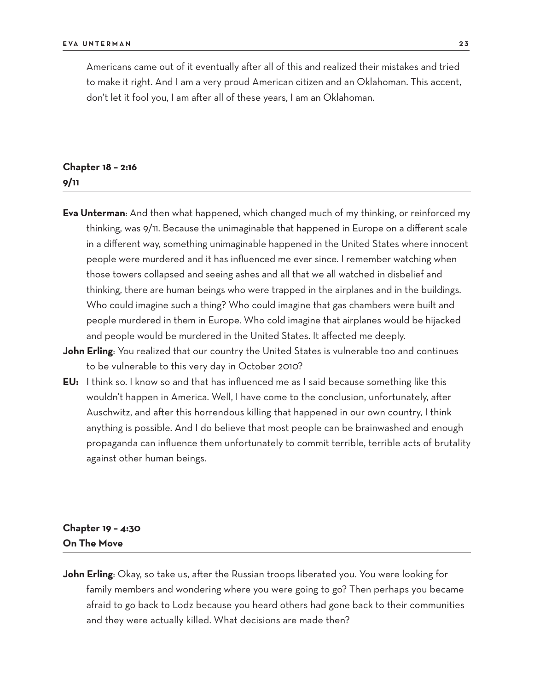Americans came out of it eventually after all of this and realized their mistakes and tried to make it right. And I am a very proud American citizen and an Oklahoman. This accent, don't let it fool you, I am after all of these years, I am an Oklahoman.

# **Chapter 18 – 2:16 9/11**

- **Eva Unterman**: And then what happened, which changed much of my thinking, or reinforced my thinking, was 9/11. Because the unimaginable that happened in Europe on a different scale in a different way, something unimaginable happened in the United States where innocent people were murdered and it has influenced me ever since. I remember watching when those towers collapsed and seeing ashes and all that we all watched in disbelief and thinking, there are human beings who were trapped in the airplanes and in the buildings. Who could imagine such a thing? Who could imagine that gas chambers were built and people murdered in them in Europe. Who cold imagine that airplanes would be hijacked and people would be murdered in the United States. It affected me deeply.
- **John Erling**: You realized that our country the United States is vulnerable too and continues to be vulnerable to this very day in October 2010?
- **EU:** I think so. I know so and that has influenced me as I said because something like this wouldn't happen in America. Well, I have come to the conclusion, unfortunately, after Auschwitz, and after this horrendous killing that happened in our own country, I think anything is possible. And I do believe that most people can be brainwashed and enough propaganda can influence them unfortunately to commit terrible, terrible acts of brutality against other human beings.

# **Chapter 19 – 4:30 On The Move**

**John Erling**: Okay, so take us, after the Russian troops liberated you. You were looking for family members and wondering where you were going to go? Then perhaps you became afraid to go back to Lodz because you heard others had gone back to their communities and they were actually killed. What decisions are made then?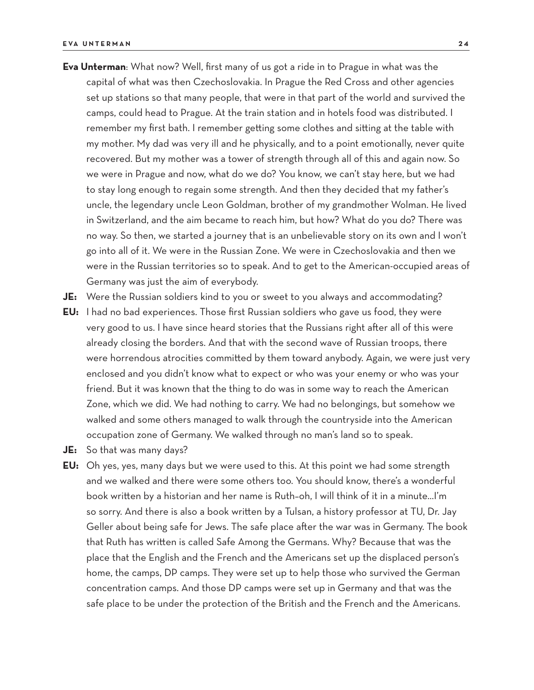- **Eva Unterman**: What now? Well, first many of us got a ride in to Prague in what was the capital of what was then Czechoslovakia. In Prague the Red Cross and other agencies set up stations so that many people, that were in that part of the world and survived the camps, could head to Prague. At the train station and in hotels food was distributed. I remember my first bath. I remember getting some clothes and sitting at the table with my mother. My dad was very ill and he physically, and to a point emotionally, never quite recovered. But my mother was a tower of strength through all of this and again now. So we were in Prague and now, what do we do? You know, we can't stay here, but we had to stay long enough to regain some strength. And then they decided that my father's uncle, the legendary uncle Leon Goldman, brother of my grandmother Wolman. He lived in Switzerland, and the aim became to reach him, but how? What do you do? There was no way. So then, we started a journey that is an unbelievable story on its own and I won't go into all of it. We were in the Russian Zone. We were in Czechoslovakia and then we were in the Russian territories so to speak. And to get to the American-occupied areas of Germany was just the aim of everybody.
- **JE:** Were the Russian soldiers kind to you or sweet to you always and accommodating?
- **EU:** I had no bad experiences. Those first Russian soldiers who gave us food, they were very good to us. I have since heard stories that the Russians right after all of this were already closing the borders. And that with the second wave of Russian troops, there were horrendous atrocities committed by them toward anybody. Again, we were just very enclosed and you didn't know what to expect or who was your enemy or who was your friend. But it was known that the thing to do was in some way to reach the American Zone, which we did. We had nothing to carry. We had no belongings, but somehow we walked and some others managed to walk through the countryside into the American occupation zone of Germany. We walked through no man's land so to speak.
- **JE:** So that was many days?
- **EU:** Oh yes, yes, many days but we were used to this. At this point we had some strength and we walked and there were some others too. You should know, there's a wonderful book written by a historian and her name is Ruth–oh, I will think of it in a minute…I'm so sorry. And there is also a book written by a Tulsan, a history professor at TU, Dr. Jay Geller about being safe for Jews. The safe place after the war was in Germany. The book that Ruth has written is called Safe Among the Germans. Why? Because that was the place that the English and the French and the Americans set up the displaced person's home, the camps, DP camps. They were set up to help those who survived the German concentration camps. And those DP camps were set up in Germany and that was the safe place to be under the protection of the British and the French and the Americans.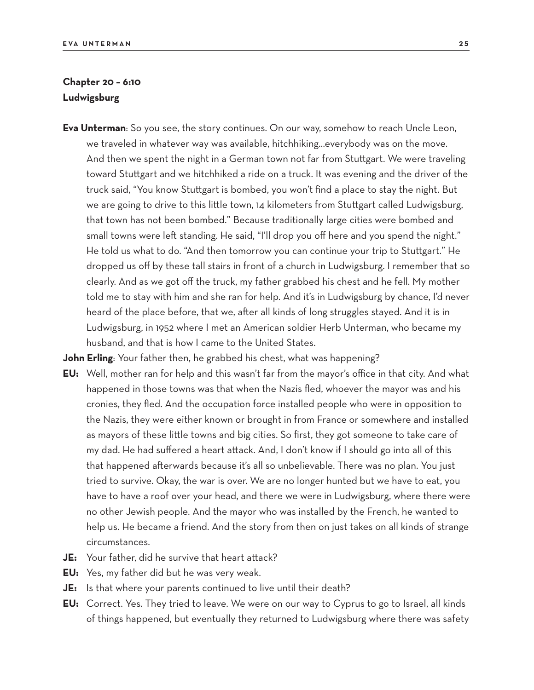# **Chapter 20 – 6:10 Ludwigsburg**

**Eva Unterman**: So you see, the story continues. On our way, somehow to reach Uncle Leon, we traveled in whatever way was available, hitchhiking…everybody was on the move. And then we spent the night in a German town not far from Stuttgart. We were traveling toward Stuttgart and we hitchhiked a ride on a truck. It was evening and the driver of the truck said, "You know Stuttgart is bombed, you won't find a place to stay the night. But we are going to drive to this little town, 14 kilometers from Stuttgart called Ludwigsburg, that town has not been bombed." Because traditionally large cities were bombed and small towns were left standing. He said, "I'll drop you off here and you spend the night." He told us what to do. "And then tomorrow you can continue your trip to Stuttgart." He dropped us off by these tall stairs in front of a church in Ludwigsburg. I remember that so clearly. And as we got off the truck, my father grabbed his chest and he fell. My mother told me to stay with him and she ran for help. And it's in Ludwigsburg by chance, I'd never heard of the place before, that we, after all kinds of long struggles stayed. And it is in Ludwigsburg, in 1952 where I met an American soldier Herb Unterman, who became my husband, and that is how I came to the United States.

**John Erling**: Your father then, he grabbed his chest, what was happening?

- **EU:** Well, mother ran for help and this wasn't far from the mayor's office in that city. And what happened in those towns was that when the Nazis fled, whoever the mayor was and his cronies, they fled. And the occupation force installed people who were in opposition to the Nazis, they were either known or brought in from France or somewhere and installed as mayors of these little towns and big cities. So first, they got someone to take care of my dad. He had suffered a heart attack. And, I don't know if I should go into all of this that happened afterwards because it's all so unbelievable. There was no plan. You just tried to survive. Okay, the war is over. We are no longer hunted but we have to eat, you have to have a roof over your head, and there we were in Ludwigsburg, where there were no other Jewish people. And the mayor who was installed by the French, he wanted to help us. He became a friend. And the story from then on just takes on all kinds of strange circumstances.
- **JE:** Your father, did he survive that heart attack?
- **EU:** Yes, my father did but he was very weak.
- **JE:** Is that where your parents continued to live until their death?
- **EU:** Correct. Yes. They tried to leave. We were on our way to Cyprus to go to Israel, all kinds of things happened, but eventually they returned to Ludwigsburg where there was safety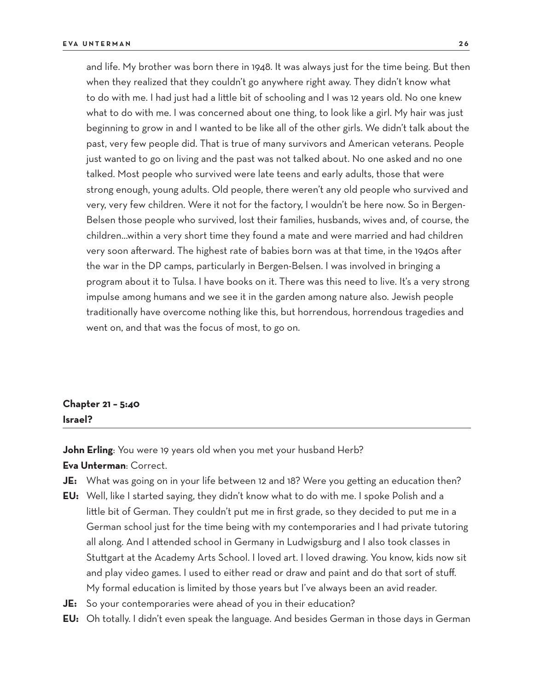and life. My brother was born there in 1948. It was always just for the time being. But then when they realized that they couldn't go anywhere right away. They didn't know what to do with me. I had just had a little bit of schooling and I was 12 years old. No one knew what to do with me. I was concerned about one thing, to look like a girl. My hair was just beginning to grow in and I wanted to be like all of the other girls. We didn't talk about the past, very few people did. That is true of many survivors and American veterans. People just wanted to go on living and the past was not talked about. No one asked and no one talked. Most people who survived were late teens and early adults, those that were strong enough, young adults. Old people, there weren't any old people who survived and very, very few children. Were it not for the factory, I wouldn't be here now. So in Bergen-Belsen those people who survived, lost their families, husbands, wives and, of course, the children…within a very short time they found a mate and were married and had children very soon afterward. The highest rate of babies born was at that time, in the 1940s after the war in the DP camps, particularly in Bergen-Belsen. I was involved in bringing a program about it to Tulsa. I have books on it. There was this need to live. It's a very strong impulse among humans and we see it in the garden among nature also. Jewish people traditionally have overcome nothing like this, but horrendous, horrendous tragedies and went on, and that was the focus of most, to go on.

# **Chapter 21 – 5:40 Israel?**

John Erling: You were 19 years old when you met your husband Herb? **Eva Unterman**: Correct.

- **JE:** What was going on in your life between 12 and 18? Were you getting an education then?
- **EU:** Well, like I started saying, they didn't know what to do with me. I spoke Polish and a little bit of German. They couldn't put me in first grade, so they decided to put me in a German school just for the time being with my contemporaries and I had private tutoring all along. And I attended school in Germany in Ludwigsburg and I also took classes in Stuttgart at the Academy Arts School. I loved art. I loved drawing. You know, kids now sit and play video games. I used to either read or draw and paint and do that sort of stuff. My formal education is limited by those years but I've always been an avid reader.
- **JE:** So your contemporaries were ahead of you in their education?
- **EU:** Oh totally. I didn't even speak the language. And besides German in those days in German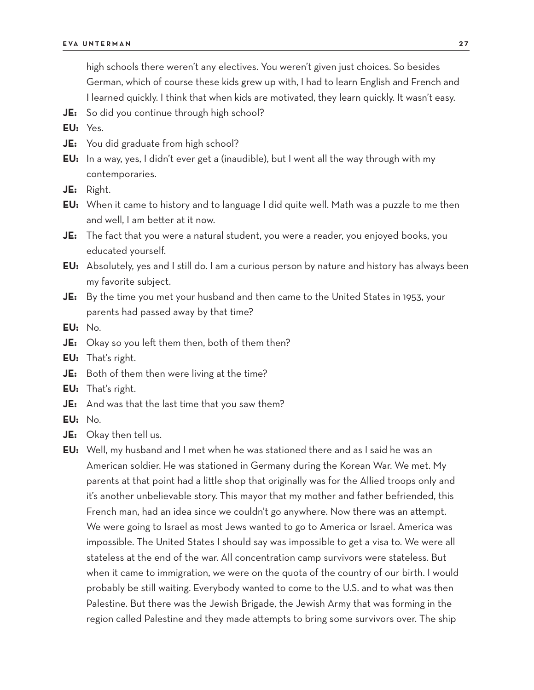high schools there weren't any electives. You weren't given just choices. So besides German, which of course these kids grew up with, I had to learn English and French and I learned quickly. I think that when kids are motivated, they learn quickly. It wasn't easy.

**JE:** So did you continue through high school?

**EU:** Yes.

- **JE:** You did graduate from high school?
- **EU:** In a way, yes, I didn't ever get a (inaudible), but I went all the way through with my contemporaries.

**JE:** Right.

- **EU:** When it came to history and to language I did quite well. Math was a puzzle to me then and well, I am better at it now.
- **JE:** The fact that you were a natural student, you were a reader, you enjoyed books, you educated yourself.
- **EU:** Absolutely, yes and I still do. I am a curious person by nature and history has always been my favorite subject.
- **JE:** By the time you met your husband and then came to the United States in 1953, your parents had passed away by that time?

**EU:** No.

- **JE:** Okay so you left them then, both of them then?
- **EU:** That's right.
- **JE:** Both of them then were living at the time?
- **EU:** That's right.
- **JE:** And was that the last time that you saw them?
- **EU:** No.
- **JE:** Okay then tell us.

**EU:** Well, my husband and I met when he was stationed there and as I said he was an American soldier. He was stationed in Germany during the Korean War. We met. My parents at that point had a little shop that originally was for the Allied troops only and it's another unbelievable story. This mayor that my mother and father befriended, this French man, had an idea since we couldn't go anywhere. Now there was an attempt. We were going to Israel as most Jews wanted to go to America or Israel. America was impossible. The United States I should say was impossible to get a visa to. We were all stateless at the end of the war. All concentration camp survivors were stateless. But when it came to immigration, we were on the quota of the country of our birth. I would probably be still waiting. Everybody wanted to come to the U.S. and to what was then Palestine. But there was the Jewish Brigade, the Jewish Army that was forming in the region called Palestine and they made attempts to bring some survivors over. The ship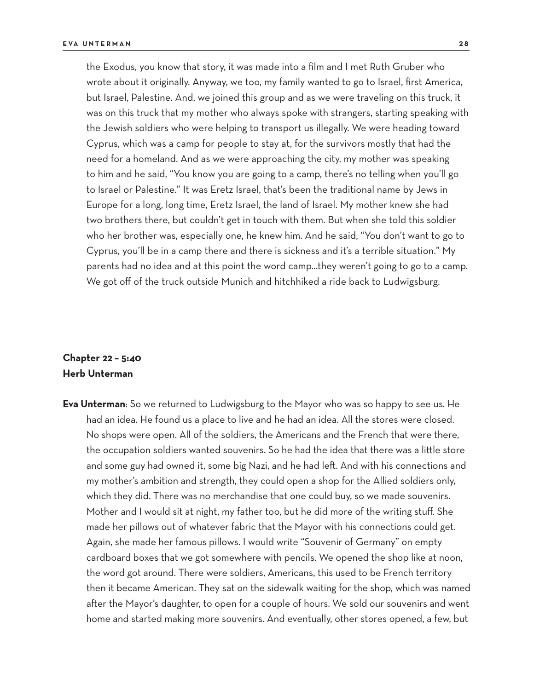the Exodus, you know that story, it was made into a film and I met Ruth Gruber who wrote about it originally. Anyway, we too, my family wanted to go to Israel, first America, but Israel, Palestine. And, we joined this group and as we were traveling on this truck, it was on this truck that my mother who always spoke with strangers, starting speaking with the Jewish soldiers who were helping to transport us illegally. We were heading toward Cyprus, which was a camp for people to stay at, for the survivors mostly that had the need for a homeland. And as we were approaching the city, my mother was speaking to him and he said, "You know you are going to a camp, there's no telling when you'll go to Israel or Palestine." It was Eretz Israel, that's been the traditional name by Jews in Europe for a long, long time, Eretz Israel, the land of Israel. My mother knew she had two brothers there, but couldn't get in touch with them. But when she told this soldier who her brother was, especially one, he knew him. And he said, "You don't want to go to Cyprus, you'll be in a camp there and there is sickness and it's a terrible situation." My parents had no idea and at this point the word camp…they weren't going to go to a camp. We got off of the truck outside Munich and hitchhiked a ride back to Ludwigsburg.

# **Chapter 22 – 5:40 Herb Unterman**

**Eva Unterman**: So we returned to Ludwigsburg to the Mayor who was so happy to see us. He had an idea. He found us a place to live and he had an idea. All the stores were closed. No shops were open. All of the soldiers, the Americans and the French that were there, the occupation soldiers wanted souvenirs. So he had the idea that there was a little store and some guy had owned it, some big Nazi, and he had left. And with his connections and my mother's ambition and strength, they could open a shop for the Allied soldiers only, which they did. There was no merchandise that one could buy, so we made souvenirs. Mother and I would sit at night, my father too, but he did more of the writing stuff. She made her pillows out of whatever fabric that the Mayor with his connections could get. Again, she made her famous pillows. I would write "Souvenir of Germany" on empty cardboard boxes that we got somewhere with pencils. We opened the shop like at noon, the word got around. There were soldiers, Americans, this used to be French territory then it became American. They sat on the sidewalk waiting for the shop, which was named after the Mayor's daughter, to open for a couple of hours. We sold our souvenirs and went home and started making more souvenirs. And eventually, other stores opened, a few, but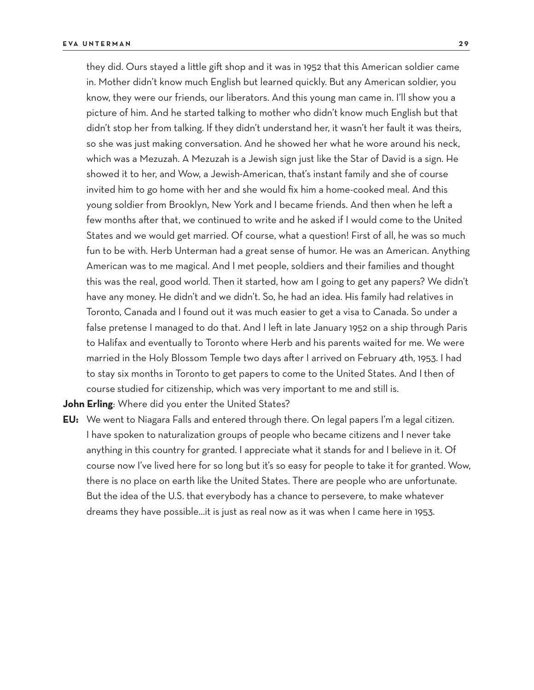they did. Ours stayed a little gift shop and it was in 1952 that this American soldier came in. Mother didn't know much English but learned quickly. But any American soldier, you know, they were our friends, our liberators. And this young man came in. I'll show you a picture of him. And he started talking to mother who didn't know much English but that didn't stop her from talking. If they didn't understand her, it wasn't her fault it was theirs, so she was just making conversation. And he showed her what he wore around his neck, which was a Mezuzah. A Mezuzah is a Jewish sign just like the Star of David is a sign. He showed it to her, and Wow, a Jewish-American, that's instant family and she of course invited him to go home with her and she would fix him a home-cooked meal. And this young soldier from Brooklyn, New York and I became friends. And then when he left a few months after that, we continued to write and he asked if I would come to the United States and we would get married. Of course, what a question! First of all, he was so much fun to be with. Herb Unterman had a great sense of humor. He was an American. Anything American was to me magical. And I met people, soldiers and their families and thought this was the real, good world. Then it started, how am I going to get any papers? We didn't have any money. He didn't and we didn't. So, he had an idea. His family had relatives in Toronto, Canada and I found out it was much easier to get a visa to Canada. So under a false pretense I managed to do that. And I left in late January 1952 on a ship through Paris to Halifax and eventually to Toronto where Herb and his parents waited for me. We were married in the Holy Blossom Temple two days after I arrived on February 4th, 1953. I had to stay six months in Toronto to get papers to come to the United States. And I then of course studied for citizenship, which was very important to me and still is.

**John Erling**: Where did you enter the United States?

**EU:** We went to Niagara Falls and entered through there. On legal papers I'm a legal citizen. I have spoken to naturalization groups of people who became citizens and I never take anything in this country for granted. I appreciate what it stands for and I believe in it. Of course now I've lived here for so long but it's so easy for people to take it for granted. Wow, there is no place on earth like the United States. There are people who are unfortunate. But the idea of the U.S. that everybody has a chance to persevere, to make whatever dreams they have possible…it is just as real now as it was when I came here in 1953.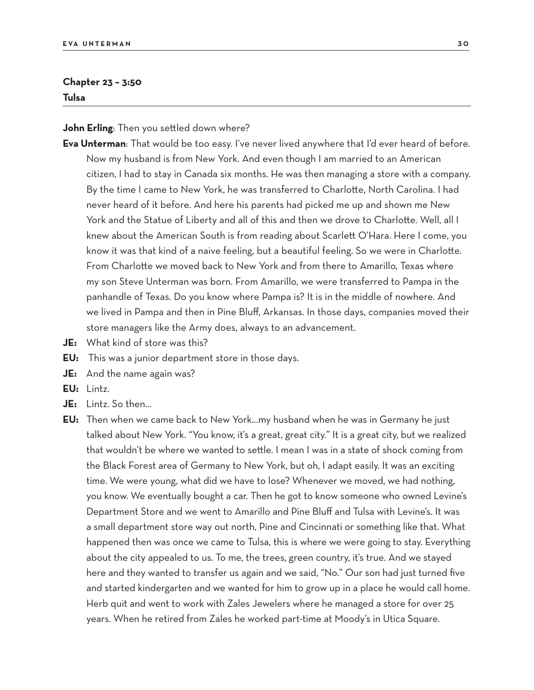#### **Chapter 23 – 3:50 Tulsa**

**John Erling**: Then you settled down where?

- **Eva Unterman**: That would be too easy. I've never lived anywhere that I'd ever heard of before. Now my husband is from New York. And even though I am married to an American citizen, I had to stay in Canada six months. He was then managing a store with a company. By the time I came to New York, he was transferred to Charlotte, North Carolina. I had never heard of it before. And here his parents had picked me up and shown me New York and the Statue of Liberty and all of this and then we drove to Charlotte. Well, all I knew about the American South is from reading about Scarlett O'Hara. Here I come, you know it was that kind of a naive feeling, but a beautiful feeling. So we were in Charlotte. From Charlotte we moved back to New York and from there to Amarillo, Texas where my son Steve Unterman was born. From Amarillo, we were transferred to Pampa in the panhandle of Texas. Do you know where Pampa is? It is in the middle of nowhere. And we lived in Pampa and then in Pine Bluff, Arkansas. In those days, companies moved their store managers like the Army does, always to an advancement.
- **JE:** What kind of store was this?
- **EU:** This was a junior department store in those days.
- **JE:** And the name again was?
- **EU:** Lintz.
- **JE:** Lintz. So then...
- **EU:** Then when we came back to New York…my husband when he was in Germany he just talked about New York. "You know, it's a great, great city." It is a great city, but we realized that wouldn't be where we wanted to settle. I mean I was in a state of shock coming from the Black Forest area of Germany to New York, but oh, I adapt easily. It was an exciting time. We were young, what did we have to lose? Whenever we moved, we had nothing, you know. We eventually bought a car. Then he got to know someone who owned Levine's Department Store and we went to Amarillo and Pine Bluff and Tulsa with Levine's. It was a small department store way out north, Pine and Cincinnati or something like that. What happened then was once we came to Tulsa, this is where we were going to stay. Everything about the city appealed to us. To me, the trees, green country, it's true. And we stayed here and they wanted to transfer us again and we said, "No." Our son had just turned five and started kindergarten and we wanted for him to grow up in a place he would call home. Herb quit and went to work with Zales Jewelers where he managed a store for over 25 years. When he retired from Zales he worked part-time at Moody's in Utica Square.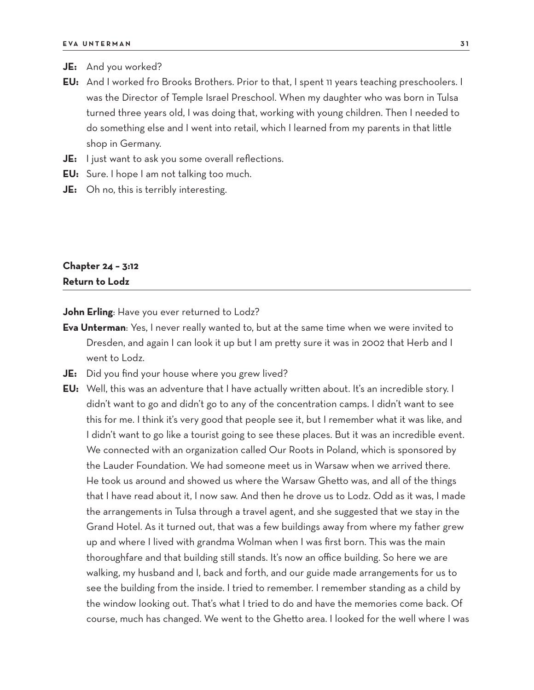- **JE:** And you worked?
- **EU:** And I worked fro Brooks Brothers. Prior to that, I spent 11 years teaching preschoolers. I was the Director of Temple Israel Preschool. When my daughter who was born in Tulsa turned three years old, I was doing that, working with young children. Then I needed to do something else and I went into retail, which I learned from my parents in that little shop in Germany.
- **JE:** I just want to ask you some overall reflections.
- **EU:** Sure. I hope I am not talking too much.
- **JE:** Oh no, this is terribly interesting.

# **Chapter 24 – 3:12 Return to Lodz**

**John Erling**: Have you ever returned to Lodz?

- **Eva Unterman**: Yes, I never really wanted to, but at the same time when we were invited to Dresden, and again I can look it up but I am pretty sure it was in 2002 that Herb and I went to Lodz.
- **JE:** Did you find your house where you grew lived?
- **EU:** Well, this was an adventure that I have actually written about. It's an incredible story. I didn't want to go and didn't go to any of the concentration camps. I didn't want to see this for me. I think it's very good that people see it, but I remember what it was like, and I didn't want to go like a tourist going to see these places. But it was an incredible event. We connected with an organization called Our Roots in Poland, which is sponsored by the Lauder Foundation. We had someone meet us in Warsaw when we arrived there. He took us around and showed us where the Warsaw Ghetto was, and all of the things that I have read about it, I now saw. And then he drove us to Lodz. Odd as it was, I made the arrangements in Tulsa through a travel agent, and she suggested that we stay in the Grand Hotel. As it turned out, that was a few buildings away from where my father grew up and where I lived with grandma Wolman when I was first born. This was the main thoroughfare and that building still stands. It's now an office building. So here we are walking, my husband and I, back and forth, and our guide made arrangements for us to see the building from the inside. I tried to remember. I remember standing as a child by the window looking out. That's what I tried to do and have the memories come back. Of course, much has changed. We went to the Ghetto area. I looked for the well where I was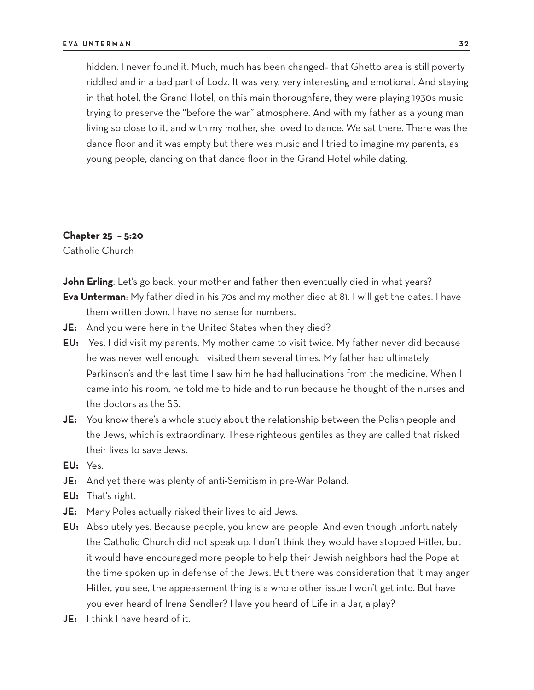hidden. I never found it. Much, much has been changed– that Ghetto area is still poverty riddled and in a bad part of Lodz. It was very, very interesting and emotional. And staying in that hotel, the Grand Hotel, on this main thoroughfare, they were playing 1930s music trying to preserve the "before the war" atmosphere. And with my father as a young man living so close to it, and with my mother, she loved to dance. We sat there. There was the dance floor and it was empty but there was music and I tried to imagine my parents, as young people, dancing on that dance floor in the Grand Hotel while dating.

#### **Chapter 25 – 5:20**

Catholic Church

**John Erling**: Let's go back, your mother and father then eventually died in what years? **Eva Unterman**: My father died in his 70s and my mother died at 81. I will get the dates. I have them written down. I have no sense for numbers.

- **JE:** And you were here in the United States when they died?
- **EU:** Yes, I did visit my parents. My mother came to visit twice. My father never did because he was never well enough. I visited them several times. My father had ultimately Parkinson's and the last time I saw him he had hallucinations from the medicine. When I came into his room, he told me to hide and to run because he thought of the nurses and the doctors as the SS.
- **JE:** You know there's a whole study about the relationship between the Polish people and the Jews, which is extraordinary. These righteous gentiles as they are called that risked their lives to save Jews.
- **EU:** Yes.
- **JE:** And yet there was plenty of anti-Semitism in pre-War Poland.
- **EU:** That's right.
- **JE:** Many Poles actually risked their lives to aid Jews.
- **EU:** Absolutely yes. Because people, you know are people. And even though unfortunately the Catholic Church did not speak up. I don't think they would have stopped Hitler, but it would have encouraged more people to help their Jewish neighbors had the Pope at the time spoken up in defense of the Jews. But there was consideration that it may anger Hitler, you see, the appeasement thing is a whole other issue I won't get into. But have you ever heard of Irena Sendler? Have you heard of Life in a Jar, a play?
- **JE:** I think I have heard of it.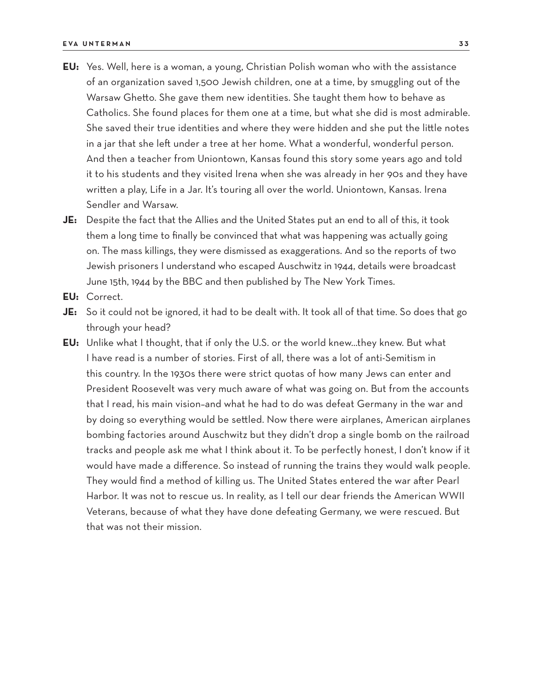- **EU:** Yes. Well, here is a woman, a young, Christian Polish woman who with the assistance of an organization saved 1,500 Jewish children, one at a time, by smuggling out of the Warsaw Ghetto. She gave them new identities. She taught them how to behave as Catholics. She found places for them one at a time, but what she did is most admirable. She saved their true identities and where they were hidden and she put the little notes in a jar that she left under a tree at her home. What a wonderful, wonderful person. And then a teacher from Uniontown, Kansas found this story some years ago and told it to his students and they visited Irena when she was already in her 90s and they have written a play, Life in a Jar. It's touring all over the world. Uniontown, Kansas. Irena Sendler and Warsaw.
- **JE:** Despite the fact that the Allies and the United States put an end to all of this, it took them a long time to finally be convinced that what was happening was actually going on. The mass killings, they were dismissed as exaggerations. And so the reports of two Jewish prisoners I understand who escaped Auschwitz in 1944, details were broadcast June 15th, 1944 by the BBC and then published by The New York Times.
- **EU:** Correct.
- **JE:** So it could not be ignored, it had to be dealt with. It took all of that time. So does that go through your head?
- **EU:** Unlike what I thought, that if only the U.S. or the world knew…they knew. But what I have read is a number of stories. First of all, there was a lot of anti-Semitism in this country. In the 1930s there were strict quotas of how many Jews can enter and President Roosevelt was very much aware of what was going on. But from the accounts that I read, his main vision–and what he had to do was defeat Germany in the war and by doing so everything would be settled. Now there were airplanes, American airplanes bombing factories around Auschwitz but they didn't drop a single bomb on the railroad tracks and people ask me what I think about it. To be perfectly honest, I don't know if it would have made a difference. So instead of running the trains they would walk people. They would find a method of killing us. The United States entered the war after Pearl Harbor. It was not to rescue us. In reality, as I tell our dear friends the American WWII Veterans, because of what they have done defeating Germany, we were rescued. But that was not their mission.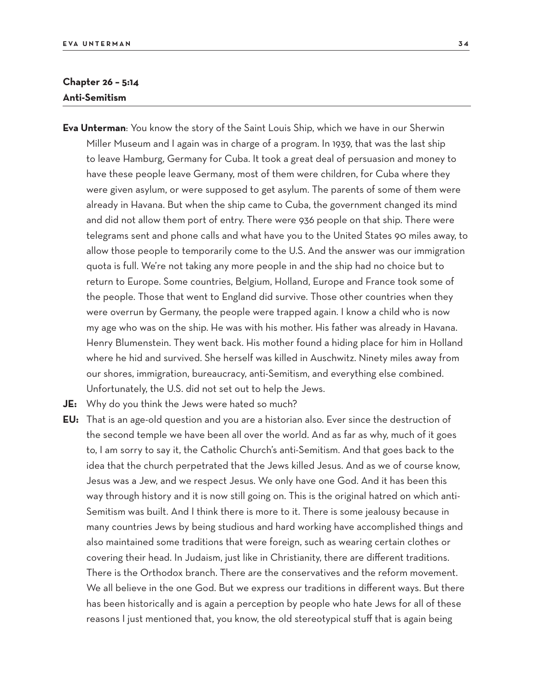# **Chapter 26 – 5:14 Anti-Semitism**

- **Eva Unterman**: You know the story of the Saint Louis Ship, which we have in our Sherwin Miller Museum and I again was in charge of a program. In 1939, that was the last ship to leave Hamburg, Germany for Cuba. It took a great deal of persuasion and money to have these people leave Germany, most of them were children, for Cuba where they were given asylum, or were supposed to get asylum. The parents of some of them were already in Havana. But when the ship came to Cuba, the government changed its mind and did not allow them port of entry. There were 936 people on that ship. There were telegrams sent and phone calls and what have you to the United States 90 miles away, to allow those people to temporarily come to the U.S. And the answer was our immigration quota is full. We're not taking any more people in and the ship had no choice but to return to Europe. Some countries, Belgium, Holland, Europe and France took some of the people. Those that went to England did survive. Those other countries when they were overrun by Germany, the people were trapped again. I know a child who is now my age who was on the ship. He was with his mother. His father was already in Havana. Henry Blumenstein. They went back. His mother found a hiding place for him in Holland where he hid and survived. She herself was killed in Auschwitz. Ninety miles away from our shores, immigration, bureaucracy, anti-Semitism, and everything else combined. Unfortunately, the U.S. did not set out to help the Jews.
- **JE:** Why do you think the Jews were hated so much?
- **EU:** That is an age-old question and you are a historian also. Ever since the destruction of the second temple we have been all over the world. And as far as why, much of it goes to, I am sorry to say it, the Catholic Church's anti-Semitism. And that goes back to the idea that the church perpetrated that the Jews killed Jesus. And as we of course know, Jesus was a Jew, and we respect Jesus. We only have one God. And it has been this way through history and it is now still going on. This is the original hatred on which anti-Semitism was built. And I think there is more to it. There is some jealousy because in many countries Jews by being studious and hard working have accomplished things and also maintained some traditions that were foreign, such as wearing certain clothes or covering their head. In Judaism, just like in Christianity, there are different traditions. There is the Orthodox branch. There are the conservatives and the reform movement. We all believe in the one God. But we express our traditions in different ways. But there has been historically and is again a perception by people who hate Jews for all of these reasons I just mentioned that, you know, the old stereotypical stuff that is again being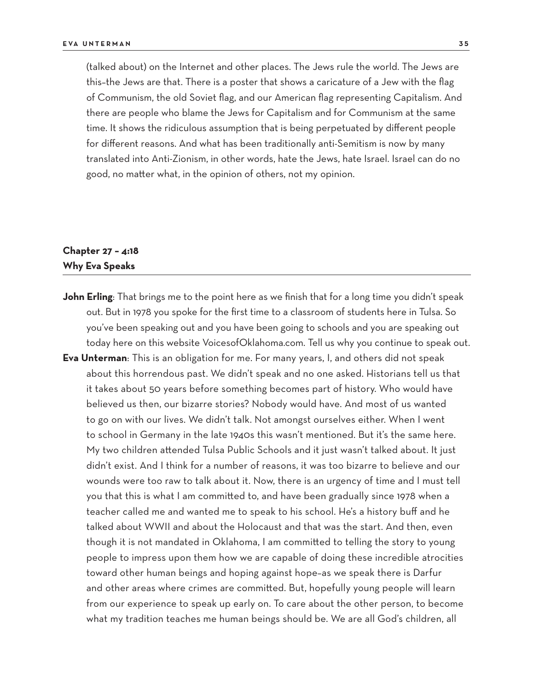(talked about) on the Internet and other places. The Jews rule the world. The Jews are this–the Jews are that. There is a poster that shows a caricature of a Jew with the flag of Communism, the old Soviet flag, and our American flag representing Capitalism. And there are people who blame the Jews for Capitalism and for Communism at the same time. It shows the ridiculous assumption that is being perpetuated by different people for different reasons. And what has been traditionally anti-Semitism is now by many translated into Anti-Zionism, in other words, hate the Jews, hate Israel. Israel can do no good, no matter what, in the opinion of others, not my opinion.

# **Chapter 27 – 4:18 Why Eva Speaks**

John Erling: That brings me to the point here as we finish that for a long time you didn't speak out. But in 1978 you spoke for the first time to a classroom of students here in Tulsa. So you've been speaking out and you have been going to schools and you are speaking out today here on this website VoicesofOklahoma.com. Tell us why you continue to speak out. **Eva Unterman**: This is an obligation for me. For many years, I, and others did not speak about this horrendous past. We didn't speak and no one asked. Historians tell us that it takes about 50 years before something becomes part of history. Who would have believed us then, our bizarre stories? Nobody would have. And most of us wanted to go on with our lives. We didn't talk. Not amongst ourselves either. When I went to school in Germany in the late 1940s this wasn't mentioned. But it's the same here. My two children attended Tulsa Public Schools and it just wasn't talked about. It just didn't exist. And I think for a number of reasons, it was too bizarre to believe and our wounds were too raw to talk about it. Now, there is an urgency of time and I must tell you that this is what I am committed to, and have been gradually since 1978 when a teacher called me and wanted me to speak to his school. He's a history buff and he talked about WWII and about the Holocaust and that was the start. And then, even though it is not mandated in Oklahoma, I am committed to telling the story to young people to impress upon them how we are capable of doing these incredible atrocities toward other human beings and hoping against hope–as we speak there is Darfur and other areas where crimes are committed. But, hopefully young people will learn from our experience to speak up early on. To care about the other person, to become what my tradition teaches me human beings should be. We are all God's children, all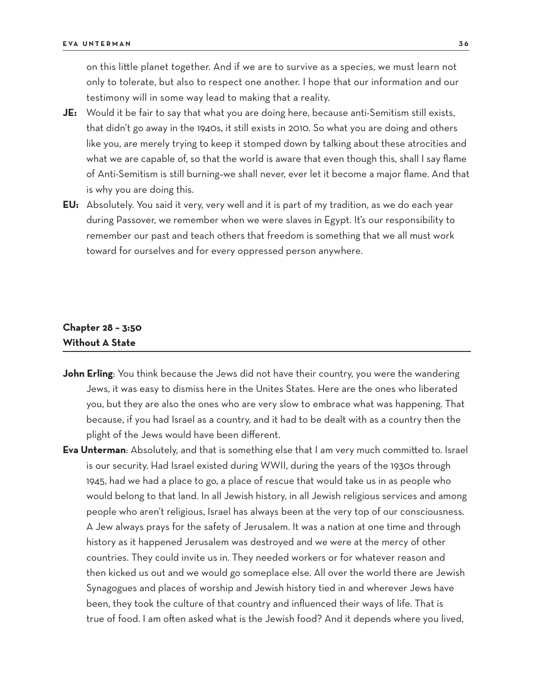on this little planet together. And if we are to survive as a species, we must learn not only to tolerate, but also to respect one another. I hope that our information and our testimony will in some way lead to making that a reality.

- **JE:** Would it be fair to say that what you are doing here, because anti-Semitism still exists, that didn't go away in the 1940s, it still exists in 2010. So what you are doing and others like you, are merely trying to keep it stomped down by talking about these atrocities and what we are capable of, so that the world is aware that even though this, shall I say flame of Anti-Semitism is still burning–we shall never, ever let it become a major flame. And that is why you are doing this.
- **EU:** Absolutely. You said it very, very well and it is part of my tradition, as we do each year during Passover, we remember when we were slaves in Egypt. It's our responsibility to remember our past and teach others that freedom is something that we all must work toward for ourselves and for every oppressed person anywhere.

# **Chapter 28 – 3:50 Without A State**

- **John Erling**: You think because the Jews did not have their country, you were the wandering Jews, it was easy to dismiss here in the Unites States. Here are the ones who liberated you, but they are also the ones who are very slow to embrace what was happening. That because, if you had Israel as a country, and it had to be dealt with as a country then the plight of the Jews would have been different.
- **Eva Unterman**: Absolutely, and that is something else that I am very much committed to. Israel is our security. Had Israel existed during WWII, during the years of the 1930s through 1945, had we had a place to go, a place of rescue that would take us in as people who would belong to that land. In all Jewish history, in all Jewish religious services and among people who aren't religious, Israel has always been at the very top of our consciousness. A Jew always prays for the safety of Jerusalem. It was a nation at one time and through history as it happened Jerusalem was destroyed and we were at the mercy of other countries. They could invite us in. They needed workers or for whatever reason and then kicked us out and we would go someplace else. All over the world there are Jewish Synagogues and places of worship and Jewish history tied in and wherever Jews have been, they took the culture of that country and influenced their ways of life. That is true of food. I am often asked what is the Jewish food? And it depends where you lived,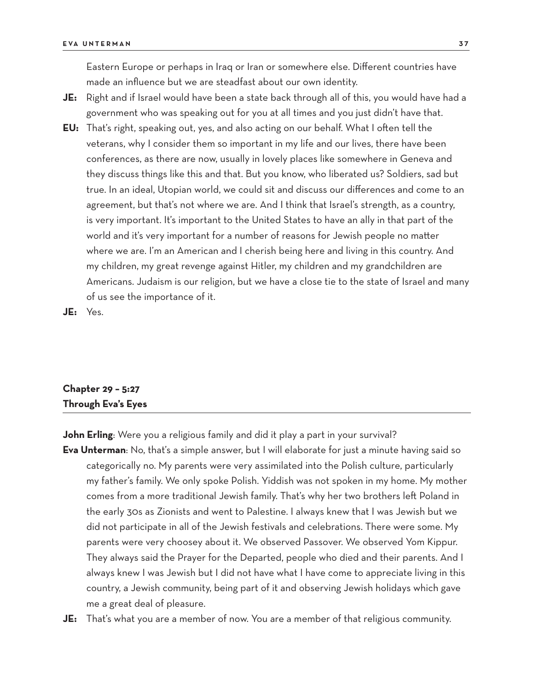Eastern Europe or perhaps in Iraq or Iran or somewhere else. Different countries have made an influence but we are steadfast about our own identity.

- **JE:** Right and if Israel would have been a state back through all of this, you would have had a government who was speaking out for you at all times and you just didn't have that.
- **EU:** That's right, speaking out, yes, and also acting on our behalf. What I often tell the veterans, why I consider them so important in my life and our lives, there have been conferences, as there are now, usually in lovely places like somewhere in Geneva and they discuss things like this and that. But you know, who liberated us? Soldiers, sad but true. In an ideal, Utopian world, we could sit and discuss our differences and come to an agreement, but that's not where we are. And I think that Israel's strength, as a country, is very important. It's important to the United States to have an ally in that part of the world and it's very important for a number of reasons for Jewish people no matter where we are. I'm an American and I cherish being here and living in this country. And my children, my great revenge against Hitler, my children and my grandchildren are Americans. Judaism is our religion, but we have a close tie to the state of Israel and many of us see the importance of it.

**JE:** Yes.

# **Chapter 29 – 5:27 Through Eva's Eyes**

**John Erling**: Were you a religious family and did it play a part in your survival?

- **Eva Unterman**: No, that's a simple answer, but I will elaborate for just a minute having said so categorically no. My parents were very assimilated into the Polish culture, particularly my father's family. We only spoke Polish. Yiddish was not spoken in my home. My mother comes from a more traditional Jewish family. That's why her two brothers left Poland in the early 30s as Zionists and went to Palestine. I always knew that I was Jewish but we did not participate in all of the Jewish festivals and celebrations. There were some. My parents were very choosey about it. We observed Passover. We observed Yom Kippur. They always said the Prayer for the Departed, people who died and their parents. And I always knew I was Jewish but I did not have what I have come to appreciate living in this country, a Jewish community, being part of it and observing Jewish holidays which gave me a great deal of pleasure.
- **JE:** That's what you are a member of now. You are a member of that religious community.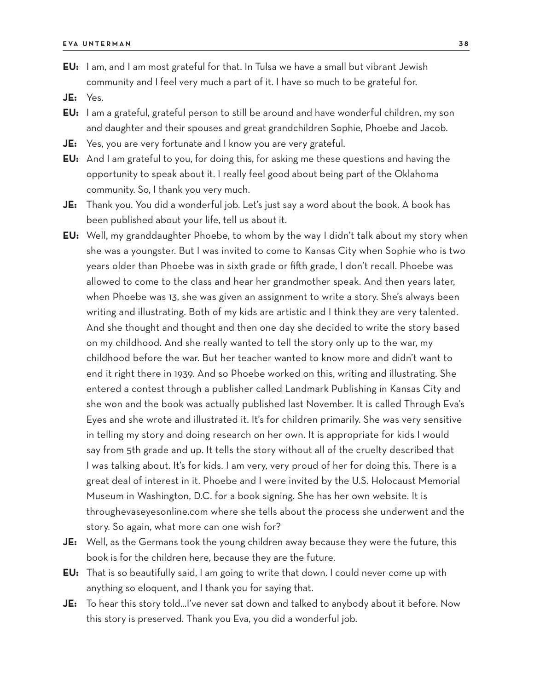- **EU:** I am, and I am most grateful for that. In Tulsa we have a small but vibrant Jewish community and I feel very much a part of it. I have so much to be grateful for.
- **JE:** Yes.
- **EU:** I am a grateful, grateful person to still be around and have wonderful children, my son and daughter and their spouses and great grandchildren Sophie, Phoebe and Jacob.
- **JE:** Yes, you are very fortunate and I know you are very grateful.
- **EU:** And I am grateful to you, for doing this, for asking me these questions and having the opportunity to speak about it. I really feel good about being part of the Oklahoma community. So, I thank you very much.
- **JE:** Thank you. You did a wonderful job. Let's just say a word about the book. A book has been published about your life, tell us about it.
- **EU:** Well, my granddaughter Phoebe, to whom by the way I didn't talk about my story when she was a youngster. But I was invited to come to Kansas City when Sophie who is two years older than Phoebe was in sixth grade or fifth grade, I don't recall. Phoebe was allowed to come to the class and hear her grandmother speak. And then years later, when Phoebe was 13, she was given an assignment to write a story. She's always been writing and illustrating. Both of my kids are artistic and I think they are very talented. And she thought and thought and then one day she decided to write the story based on my childhood. And she really wanted to tell the story only up to the war, my childhood before the war. But her teacher wanted to know more and didn't want to end it right there in 1939. And so Phoebe worked on this, writing and illustrating. She entered a contest through a publisher called Landmark Publishing in Kansas City and she won and the book was actually published last November. It is called Through Eva's Eyes and she wrote and illustrated it. It's for children primarily. She was very sensitive in telling my story and doing research on her own. It is appropriate for kids I would say from 5th grade and up. It tells the story without all of the cruelty described that I was talking about. It's for kids. I am very, very proud of her for doing this. There is a great deal of interest in it. Phoebe and I were invited by the U.S. Holocaust Memorial Museum in Washington, D.C. for a book signing. She has her own website. It is throughevaseyesonline.com where she tells about the process she underwent and the story. So again, what more can one wish for?
- **JE:** Well, as the Germans took the young children away because they were the future, this book is for the children here, because they are the future.
- **EU:** That is so beautifully said, I am going to write that down. I could never come up with anything so eloquent, and I thank you for saying that.
- **JE:** To hear this story told...I've never sat down and talked to anybody about it before. Now this story is preserved. Thank you Eva, you did a wonderful job.